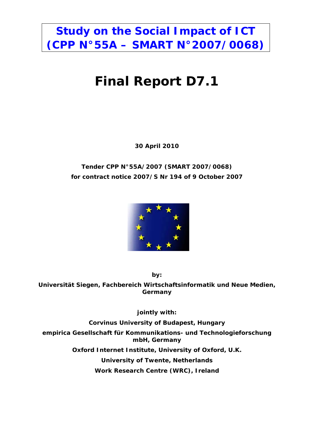# **Study on the Social Impact of ICT (CPP N°55A – SMART N°2007/0068)**

# **Final Report D7.1**

**30 April 2010** 

# **Tender CPP N°55A/2007 (SMART 2007/0068) for contract notice 2007/S Nr 194 of 9 October 2007**



**by:** 

**Universität Siegen, Fachbereich Wirtschaftsinformatik und Neue Medien, Germany** 

**jointly with:** 

**Corvinus University of Budapest, Hungary** 

**empirica Gesellschaft für Kommunikations- und Technologieforschung mbH, Germany** 

**Oxford Internet Institute, University of Oxford, U.K.** 

**University of Twente, Netherlands** 

**Work Research Centre (WRC), Ireland**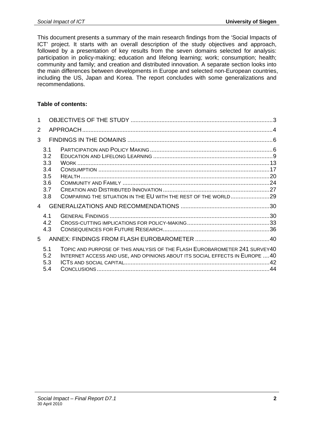This document presents a summary of the main research findings from the 'Social Impacts of ICT' project. It starts with an overall description of the study objectives and approach, followed by a presentation of key results from the seven domains selected for analysis: participation in policy-making; education and lifelong learning; work; consumption; health; community and family; and creation and distributed innovation. A separate section looks into the main differences between developments in Europe and selected non-European countries, including the US, Japan and Korea. The report concludes with some generalizations and recommendations.

#### **Table of contents:**

| $\mathbf 1$    |                                                      |                                                                                                                                                            |  |
|----------------|------------------------------------------------------|------------------------------------------------------------------------------------------------------------------------------------------------------------|--|
| 2              |                                                      |                                                                                                                                                            |  |
| 3              |                                                      |                                                                                                                                                            |  |
|                | 3.1<br>3.2<br>3.3<br>3.4<br>3.5<br>3.6<br>3.7<br>3.8 | COMPARING THE SITUATION IN THE EU WITH THE REST OF THE WORLD29                                                                                             |  |
| $\overline{4}$ |                                                      |                                                                                                                                                            |  |
|                | 4.1<br>4.2<br>4.3                                    |                                                                                                                                                            |  |
| 5              |                                                      |                                                                                                                                                            |  |
|                | 5.1<br>5.2<br>5.3<br>5.4                             | TOPIC AND PURPOSE OF THIS ANALYSIS OF THE FLASH EUROBAROMETER 241 SURVEY40<br>INTERNET ACCESS AND USE, AND OPINIONS ABOUT ITS SOCIAL EFFECTS IN EUROPE  40 |  |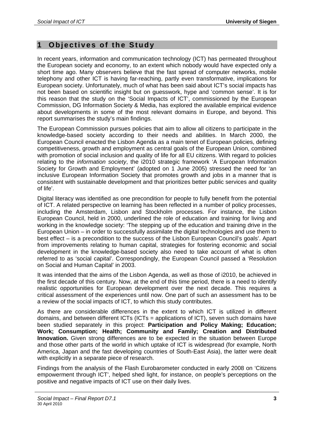# **1 Objectives of the Study**

In recent years, information and communication technology (ICT) has permeated throughout the European society and economy, to an extent which nobody would have expected only a short time ago. Many observers believe that the fast spread of computer networks, mobile telephony and other ICT is having far-reaching, partly even transformative, implications for European society. Unfortunately, much of what has been said about ICT's social impacts has not been based on scientific insight but on guesswork, hype and 'common sense'. It is for this reason that the study on the 'Social Impacts of ICT', commissioned by the European Commission, DG Information Society & Media, has explored the available empirical evidence about developments in some of the most relevant domains in Europe, and beyond. This report summarises the study's main findings.

The European Commission pursues policies that aim to allow all citizens to participate in the knowledge-based society according to their needs and abilities. In March 2000, the European Council enacted the Lisbon Agenda as a main tenet of European policies, defining competitiveness, growth and employment as central goals of the European Union, combined with promotion of social inclusion and quality of life for all EU citizens. With regard to policies relating to the *information society*, the i2010 strategic framework 'A European Information Society for Growth and Employment' (adopted on 1 June 2005) stressed the need for 'an inclusive European Information Society that promotes growth and jobs in a manner that is consistent with sustainable development and that prioritizes better public services and quality of life'.

Digital literacy was identified as one precondition for people to fully benefit from the potential of ICT. A related perspective on learning has been reflected in a number of policy processes, including the Amsterdam, Lisbon and Stockholm processes. For instance, the Lisbon European Council, held in 2000, underlined the role of education and training for living and working in the knowledge society: 'The stepping up of the education and training drive in the European Union – in order to successfully assimilate the digital technologies and use them to best effect – is a precondition to the success of the Lisbon European Council's goals'. Apart from improvements relating to human capital, strategies for fostering economic and social development in the knowledge-based society also need to take account of what is often referred to as 'social capital'. Correspondingly, the European Council passed a 'Resolution on Social and Human Capital' in 2003.

It was intended that the aims of the Lisbon Agenda, as well as those of i2010, be achieved in the first decade of this century. Now, at the end of this time period, there is a need to identify realistic opportunities for European development over the next decade. This requires a critical assessment of the experiences until now. One part of such an assessment has to be a review of the social impacts of ICT, to which this study contributes.

As there are considerable differences in the extent to which ICT is utilized in different domains, and between different ICTs (ICTs = applications of ICT), seven such domains have been studied separately in this project: **Participation and Policy Making; Education; Work; Consumption; Health; Community and Family; Creation and Distributed Innovation.** Given strong differences are to be expected in the situation between Europe and those other parts of the world in which uptake of ICT is widespread (for example, North America, Japan and the fast developing countries of South-East Asia), the latter were dealt with explicitly in a separate piece of research.

Findings from the analysis of the Flash Eurobarometer conducted in early 2008 on 'Citizens empowerment through ICT', helped shed light, for instance, on people's perceptions on the positive and negative impacts of ICT use on their daily lives.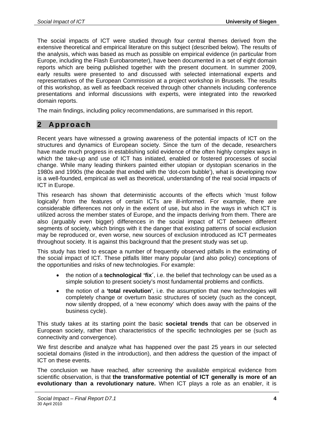The social impacts of ICT were studied through four central themes derived from the extensive theoretical and empirical literature on this subject (described below). The results of the analysis, which was based as much as possible on empirical evidence (in particular from Europe, including the Flash Eurobarometer), have been documented in a set of eight domain reports which are being published together with the present document. In summer 2009, early results were presented to and discussed with selected international experts and representatives of the European Commission at a project workshop in Brussels. The results of this workshop, as well as feedback received through other channels including conference presentations and informal discussions with experts, were integrated into the reworked domain reports.

The main findings, including policy recommendations, are summarised in this report.

# **2 Approach**

Recent years have witnessed a growing awareness of the potential impacts of ICT on the structures and dynamics of European society. Since the turn of the decade, researchers have made much progress in establishing solid evidence of the often highly complex ways in which the take-up and use of ICT has initiated, enabled or fostered processes of social change. While many leading thinkers painted either utopian or dystopian scenarios in the 1980s and 1990s (the decade that ended with the 'dot-com bubble'), what is developing now is a well-founded, empirical as well as theoretical, understanding of the real social impacts of ICT in Europe.

This research has shown that deterministic accounts of the effects which 'must follow logically' from the features of certain ICTs are ill-informed. For example, there are considerable differences not only in the extent of use, but also in the ways in which ICT is utilized across the member states of Europe, and the impacts deriving from them. There are also (arguably even bigger) differences in the social impact of ICT *between* different segments of society, which brings with it the danger that existing patterns of social exclusion may be reproduced or, even worse, new sources of exclusion introduced as ICT permeates throughout society. It is against this background that the present study was set up.

This study has tried to escape a number of frequently observed pitfalls in the estimating of the social impact of ICT. These pitfalls litter many popular (and also policy) conceptions of the opportunities and risks of new technologies. For example:

- the notion of a **technological 'fix´**, i.e. the belief that technology can be used as a simple solution to present society's most fundamental problems and conflicts.
- the notion of a **'total revolution'**, i.e. the assumption that new technologies will completely change or overturn basic structures of society (such as the concept, now silently dropped, of a 'new economy' which does away with the pains of the business cycle).

This study takes at its starting point the basic **societal trends** that can be observed in European society, rather than characteristics of the specific technologies per se (such as connectivity and convergence).

We first describe and analyze what has happened over the past 25 years in our selected societal domains (listed in the introduction), and then address the question of the impact of ICT on these events.

The conclusion we have reached, after screening the available empirical evidence from scientific observation, is that **the transformative potential of ICT generally is more of an evolutionary than a revolutionary nature.** When ICT plays a role as an enabler, it is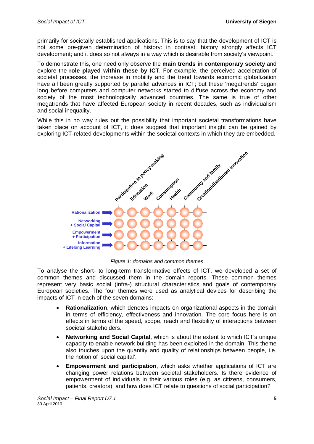primarily for societally established applications. This is to say that the development of ICT is not some pre-given determination of history: in contrast, history strongly affects ICT development; and it does so not always in a way which is desirable from society's viewpoint.

To demonstrate this, one need only observe the **main trends in contemporary society** and explore the **role played within these by ICT**. For example, the perceived acceleration of societal processes, the increase in mobility and the trend towards economic globalization have all been greatly supported by parallel advances in ICT; but these 'megatrends' began long before computers and computer networks started to diffuse across the economy and society of the most technologically advanced countries. The same is true of other megatrends that have affected European society in recent decades, such as individualism and social inequality.

While this in no way rules out the possibility that important societal transformations have taken place on account of ICT, it does suggest that important insight can be gained by exploring ICT-related developments within the societal contexts in which they are embedded.



*Figure 1: domains and common themes* 

To analyse the short- to long-term transformative effects of ICT, we developed a set of common themes and discussed them in the domain reports. These common themes represent very basic social (infra-) structural characteristics and goals of contemporary European societies. The four themes were used as analytical devices for describing the impacts of ICT in each of the seven domains:

- **Rationalization**, which denotes impacts on organizational aspects in the domain in terms of efficiency, effectiveness and innovation. The core focus here is on effects in terms of the speed, scope, reach and flexibility of interactions between societal stakeholders.
- **Networking and Social Capital**, which is about the extent to which ICT's unique capacity to enable network building has been exploited in the domain. This theme also touches upon the quantity and quality of relationships between people, i.e. the notion of 'social capital'.
- **Empowerment and participation**, which asks whether applications of ICT are changing power relations between societal stakeholders. Is there evidence of empowerment of individuals in their various roles (e.g. as citizens, consumers, patients, creators), and how does ICT relate to questions of social participation?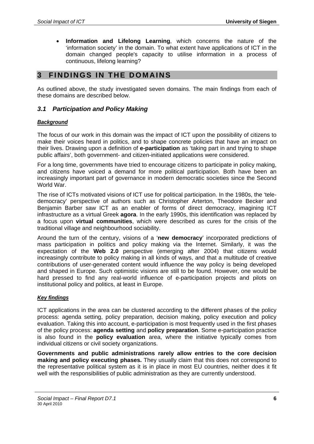• **Information and Lifelong Learning**, which concerns the nature of the 'information society' in the domain. To what extent have applications of ICT in the domain changed people's capacity to utilise information in a process of continuous, lifelong learning?

# **3 FINDINGS IN THE DOMAINS**

As outlined above, the study investigated seven domains. The main findings from each of these domains are described below.

## *3.1 Participation and Policy Making*

#### *Background*

The focus of our work in this domain was the impact of ICT upon the possibility of citizens to make their voices heard in politics, and to shape concrete policies that have an impact on their lives. Drawing upon a definition of **e-participation** as 'taking part in and trying to shape public affairs', both government- and citizen-initiated applications were considered.

For a long time, governments have tried to encourage citizens to participate in policy making, and citizens have voiced a demand for more political participation. Both have been an increasingly important part of governance in modern democratic societies since the Second World War.

The rise of ICTs motivated visions of ICT use for political participation. In the 1980s, the 'teledemocracy' perspective of authors such as Christopher Arterton, Theodore Becker and Benjamin Barber saw ICT as an enabler of forms of direct democracy, imagining ICT infrastructure as a virtual Greek **agora**. In the early 1990s, this identification was replaced by a focus upon **virtual communities**, which were described as cures for the crisis of the traditional village and neighbourhood sociability.

Around the turn of the century, visions of a '**new democracy**' incorporated predictions of mass participation in politics and policy making via the Internet. Similarly, it was the expectation of the **Web 2.0** perspective (emerging after 2004) that citizens would increasingly contribute to policy making in all kinds of ways, and that a multitude of creative contributions of user-generated content would influence the way policy is being developed and shaped in Europe. Such optimistic visions are still to be found. However, one would be hard pressed to find any real-world influence of e-participation projects and pilots on institutional policy and politics, at least in Europe.

#### *Key findings*

ICT applications in the area can be clustered according to the different phases of the policy process: agenda setting, policy preparation, decision making, policy execution and policy evaluation. Taking this into account, e-participation is most frequently used in the first phases of the policy process: **agenda setting** and **policy preparation**. Some e-participation practice is also found in the **policy evaluation** area, where the initiative typically comes from individual citizens or civil society organizations.

**Governments and public administrations rarely allow entries to the core decision making and policy executing phases.** They usually claim that this does not correspond to the representative political system as it is in place in most EU countries, neither does it fit well with the responsibilities of public administration as they are currently understood.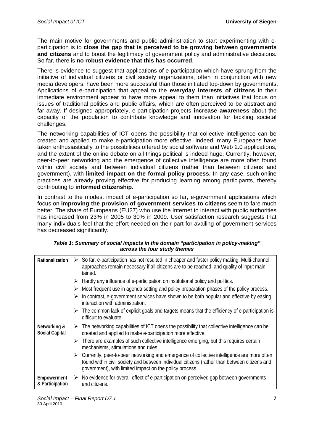The main motive for governments and public administration to start experimenting with eparticipation is to **close the gap that is perceived to be growing between governments and citizens** and to boost the legitimacy of government policy and administrative decisions. So far, there is **no robust evidence that this has occurred**.

There is evidence to suggest that applications of e-participation which have sprung from the initiative of individual citizens or civil society organizations, often in conjunction with new media developers, have been more successful than those initiated top-down by governments. Applications of e-participation that appeal to the **everyday interests of citizens** in their immediate environment appear to have more appeal to them than initiatives that focus on issues of traditional politics and public affairs, which are often perceived to be abstract and far away. If designed appropriately, e-participation projects **increase awareness** about the capacity of the population to contribute knowledge and innovation for tackling societal challenges.

The networking capabilities of ICT opens the possibility that collective intelligence can be created and applied to make e-participation more effective. Indeed, many Europeans have taken enthusiastically to the possibilities offered by social software and Web 2.0 applications, and the extent of the online debate on all things political is indeed huge. Currently, however, peer-to-peer networking and the emergence of collective intelligence are more often found within civil society and between individual citizens (rather than between citizens and government), with **limited impact on the formal policy process.** In any case, such online practices are already proving effective for producing learning among participants, thereby contributing to **informed citizenship.** 

In contrast to the modest impact of e-participation so far, e-government applications which focus on **improving the provision of government services to citizens** seem to fare much better. The share of Europeans (EU27) who use the Internet to interact with public authorities has increased from 23% in 2005 to 30% in 2009. User satisfaction research suggests that many individuals feel that the effort needed on their part for availing of government services has decreased significantly.

| Rationalization                       | So far, e-participation has not resulted in cheaper and faster policy making. Multi-channel<br>➤<br>approaches remain necessary if all citizens are to be reached, and quality of input main-<br>tained.                                              |
|---------------------------------------|-------------------------------------------------------------------------------------------------------------------------------------------------------------------------------------------------------------------------------------------------------|
|                                       | Hardly any influence of e-participation on institutional policy and politics.                                                                                                                                                                         |
|                                       | Most frequent use in agenda setting and policy preparation phases of the policy process.                                                                                                                                                              |
|                                       | In contrast, e-government services have shown to be both popular and effective by easing<br>interaction with administration.                                                                                                                          |
|                                       | $\triangleright$ The common lack of explicit goals and targets means that the efficiency of e-participation is<br>difficult to evaluate.                                                                                                              |
| Networking &<br><b>Social Capital</b> | $\triangleright$ The networking capabilities of ICT opens the possibility that collective intelligence can be<br>created and applied to make e-participation more effective.                                                                          |
|                                       | $\triangleright$ There are examples of such collective intelligence emerging, but this requires certain<br>mechanisms, stimulations and rules.                                                                                                        |
|                                       | Currently, peer-to-peer networking and emergence of collective intelligence are more often<br>found within civil society and between individual citizens (rather than between citizens and<br>government), with limited impact on the policy process. |
| Empowerment<br>& Participation        | No evidence for overall effect of e-participation on perceived gap between governments<br>➤<br>and citizens.                                                                                                                                          |

| Table 1: Summary of social impacts in the domain "participation in policy-making" |
|-----------------------------------------------------------------------------------|
| across the four study themes                                                      |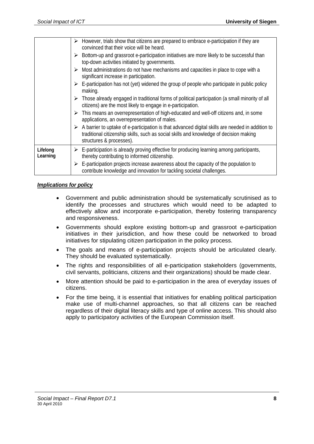|                      | However, trials show that citizens are prepared to embrace e-participation if they are<br>➤<br>convinced that their voice will be heard.                                                                                    |
|----------------------|-----------------------------------------------------------------------------------------------------------------------------------------------------------------------------------------------------------------------------|
|                      | Bottom-up and grassroot e-participation initiatives are more likely to be successful than<br>➤<br>top-down activities initiated by governments.                                                                             |
|                      | $\triangleright$ Most administrations do not have mechanisms and capacities in place to cope with a<br>significant increase in participation.                                                                               |
|                      | $\triangleright$ E-participation has not (yet) widened the group of people who participate in public policy<br>making.                                                                                                      |
|                      | $\triangleright$ Those already engaged in traditional forms of political participation (a small minority of all<br>citizens) are the most likely to engage in e-participation.                                              |
|                      | $\triangleright$ This means an overrepresentation of high-educated and well-off citizens and, in some<br>applications, an overrepresentation of males.                                                                      |
|                      | A barrier to uptake of e-participation is that advanced digital skills are needed in addition to<br>➤<br>traditional citizenship skills, such as social skills and knowledge of decision making<br>structures & processes). |
| Lifelong<br>Learning | $\triangleright$ E-participation is already proving effective for producing learning among participants,<br>thereby contributing to informed citizenship.                                                                   |
|                      | E-participation projects increase awareness about the capacity of the population to<br>contribute knowledge and innovation for tackling societal challenges.                                                                |
|                      |                                                                                                                                                                                                                             |

#### *Implications for policy*

- Government and public administration should be systematically scrutinised as to identify the processes and structures which would need to be adapted to effectively allow and incorporate e-participation, thereby fostering transparency and responsiveness.
- Governments should explore existing bottom-up and grassroot e-participation initiatives in their jurisdiction, and how these could be networked to broad initiatives for stipulating citizen participation in the policy process.
- The goals and means of e-participation projects should be articulated clearly. They should be evaluated systematically.
- The rights and responsibilities of all e-participation stakeholders (governments, civil servants, politicians, citizens and their organizations) should be made clear.
- More attention should be paid to e-participation in the area of everyday issues of citizens.
- For the time being, it is essential that initiatives for enabling political participation make use of multi-channel approaches, so that all citizens can be reached regardless of their digital literacy skills and type of online access. This should also apply to participatory activities of the European Commission itself.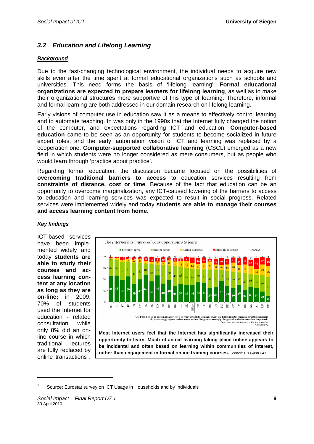# *3.2 Education and Lifelong Learning*

## *Background*

Due to the fast-changing technological environment, the individual needs to acquire new skills even after the time spent at formal educational organizations such as schools and universities. This need forms the basis of 'lifelong learning'. **Formal educational organizations are expected to prepare learners for lifelong learning**, as well as to make their organizational structures more supportive of this type of learning. Therefore, informal and formal learning are both addressed in our domain research on lifelong learning.

Early visions of computer use in education saw it as a means to effectively control learning and to automate teaching. In was only in the 1990s that the Internet fully changed the notion of the computer, and expectations regarding ICT and education. **Computer-based education** came to be seen as an opportunity for students to become socialized in future expert roles, and the early 'automation' vision of ICT and learning was replaced by a cooperation one. **Computer-supported collaborative learning** (CSCL) emerged as a new field in which students were no longer considered as mere consumers, but as people who would learn through 'practice about practice'.

Regarding formal education, the discussion became focused on the possibilities of **overcoming traditional barriers to access** to education services resulting from **constraints of distance, cost or time**. Because of the fact that education can be an opportunity to overcome marginalization, any ICT-caused lowering of the barriers to access to education and learning services was expected to result in social progress. Related services were implemented widely and today **students are able to manage their courses and access learning content from home**.



# *Key findings*

have been implemented widely and today **students are able to study their courses and access learning content at any location as long as they are on-line;** in 2009, 70% of students used the Internet for education - related consultation, while only 8% did an online course in which traditional lectures are fully replaced by online transactions<sup>1</sup>.

1

ICT-based services

**Most Internet users feel that the Internet has significantly increased their opportunity to learn. Much of actual learning taking place online appears to be incidental and often based on learning within communities of interest, rather than engagement in formal online training courses.** *Source: EB Flash 241*

<sup>1</sup> Source: Eurostat survey on ICT Usage in Households and by Individuals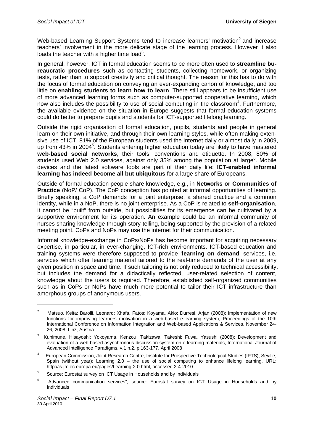Web-based Learning Support Systems tend to increase learners' motivation<sup>2</sup> and increase teachers' involvement in the more delicate stage of the learning process. However it also loads the teacher with a higher time load<sup>3</sup>.

In general, however, ICT in formal education seems to be more often used to **streamline bureaucratic procedures** such as contacting students, collecting homework, or organizing tests, rather than to support creativity and critical thought. The reason for this has to do with the focus of formal education on conveying an ever-expanding canon of knowledge, and too little on **enabling students to learn how to learn**. There still appears to be insufficient use of more advanced learning forms such as computer-supported cooperative learning, which now also includes the possibility to use of social computing in the classroom<sup>4</sup>. Furthermore, the available evidence on the situation in Europe suggests that formal education systems could do better to prepare pupils and students for ICT-supported lifelong learning.

Outside the rigid organisation of formal education, pupils, students and people in general learn on their own initiative, and through their own learning styles, while often making extensive use of ICT. 81% of the European students used the Internet daily or almost daily in 2009, up from 43% in 2004<sup>5</sup>. Students entering higher education today are likely to have mastered **web-based social networks**, their tools, conventions and etiquette. In 2008, 80% of students used Web 2.0 services, against only 35% among the population at large<sup>6</sup>. Mobile devices and the latest software tools are part of their daily life; **ICT-enabled informal learning has indeed become all but ubiquitous** for a large share of Europeans.

Outside of formal education people share knowledge, e.g., in **Networks or Communities of Practice** (NoP/ CoP). The CoP conception has pointed at informal opportunities of learning. Briefly speaking, a CoP demands for a joint enterprise, a shared practice and a common identity, while in a NoP, there is no joint enterprise. As a CoP is related to **self-organisation**, it cannot be "built" from outside, but possibilities for its emergence can be cultivated by a supportive environment for its operation. An example could be an informal community of nurses sharing knowledge through story-telling, being supported by the provision of a related meeting point. CoPs and NoPs may use the internet for their communication.

Informal knowledge-exchange in CoPs/NoPs has become important for acquiring necessary expertise, in particular, in ever-changing, ICT-rich environments. ICT-based education and training systems were therefore supposed to provide '**learning on demand**' services, i.e. services which offer learning material tailored to the real-time demands of the user at any given position in space and time. If such tailoring is not only reduced to technical accessibility, but includes the demand for a didactically reflected, user-related selection of content, knowledge about the users is required. Therefore, established self-organized communities such as in CoPs or NoPs have much more potential to tailor their ICT infrastructure than amorphous groups of anonymous users.

1

 $\overline{2}$  Matsuo, Keita; Barolli, Leonard; Xhafa, Fatos; Koyama, Akio; Durresi, Arjan (2008): Implementation of new functions for improving learners motivation in a web-based e-learning system, Proceedings of the 10th International Conference on Information Integration and Web-based Applications & Services, November 24- 26, 2008, Linz, Austria

<sup>3</sup> Kunimune, Hisayoshi; Yokoyama, Kenzou; Takizawa, Takeshi; Fuwa, Yasushi (2008): Development and evaluation of a web-based asynchronous discussion system on e-learning materials, International Journal of Advanced Intelligence Paradigms, v.1 n.2, p.163-177, April 2008

<sup>4</sup> European Commission, Joint Research Centre, Institute for Prospective Technological Studies (IPTS), Seville, Spain (without year): Learning 2.0 – the use of social computing to enhance lifelong learning, URL: http://is.jrc.ec.europa.eu/pages/Learning-2.0.html, accessed 2-4-2010

<sup>5</sup> Source: Eurostat survey on ICT Usage in Households and by Individuals

<sup>6</sup> "Advanced communication services", source: Eurostat survey on ICT Usage in Households and by Individuals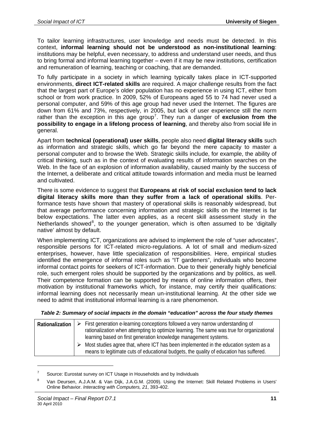To tailor learning infrastructures, user knowledge and needs must be detected. In this context, **informal learning should not be understood as non-institutional learning**: institutions may be helpful, even necessary, to address and understand user needs, and thus to bring formal and informal learning together – even if it may be new institutions, certification and remuneration of learning, teaching or coaching, that are demanded.

To fully participate in a society in which learning typically takes place in ICT-supported environments, **direct ICT-related skills** are required. A major challenge results from the fact that the largest part of Europe's older population has no experience in using ICT, either from school or from work practice. In 2009, 52% of Europeans aged 55 to 74 had never used a personal computer, and 59% of this age group had never used the Internet. The figures are down from 61% and 73%, respectively, in 2005, but lack of user experience still the norm rather than the exception in this age group<sup>7</sup>. They run a danger of exclusion from the **possibility to engage in a lifelong process of learning**, and thereby also from social life in general.

Apart from **technical (operational) user skills**, people also need **digital literacy skills** such as information and strategic skills, which go far beyond the mere capacity to master a personal computer and to browse the Web. Strategic skills include, for example, the ability of critical thinking, such as in the context of evaluating results of information searches on the Web. In the face of an explosion of information availability, caused mainly by the success of the Internet, a deliberate and critical attitude towards information and media must be learned and cultivated.

There is some evidence to suggest that **Europeans at risk of social exclusion tend to lack digital literacy skills more than they suffer from a lack of operational skills**. Performance tests have shown that mastery of operational skills is reasonably widespread, but that average performance concerning information and strategic skills on the Internet is far below expectations. The latter even applies, as a recent skill assessment study in the Netherlands showed<sup>8</sup>, to the younger generation, which is often assumed to be 'digitally native' almost by default.

When implementing ICT, organizations are advised to implement the role of "user advocates", responsible persons for ICT-related micro-regulations. A lot of small and medium-sized enterprises, however, have little specialization of responsibilities. Here, empirical studies identified the emergence of informal roles such as "IT gardeners", individuals who become informal contact points for seekers of ICT-information. Due to their generally highly beneficial role, such emergent roles should be supported by the organizations and by politics, as well. Their competence formation can be supported by means of online information offers, their motivation by institutional frameworks which, for instance, may certify their qualifications: informal learning does not necessarily mean un-institutional learning. At the other side we need to admit that institutional informal learning is a rare phenomenon.

| <b>Rationalization</b> | $\triangleright$ First generation e-learning conceptions followed a very narrow understanding of      |  |
|------------------------|-------------------------------------------------------------------------------------------------------|--|
|                        | rationalization when attempting to optimize learning. The same was true for organizational            |  |
|                        | learning based on first generation knowledge management systems.                                      |  |
|                        | $\triangleright$ Most studies agree that, where ICT has been implemented in the education system as a |  |
|                        | means to legitimate cuts of educational budgets, the quality of education has suffered.               |  |

 $\overline{a}$ 

<sup>7</sup> Source: Eurostat survey on ICT Usage in Households and by Individuals

<sup>8</sup> Van Deursen, A.J.A.M. & Van Dijk, J.A.G.M. (2009). Using the Internet: Skill Related Problems in Users' Online Behavior. *Interacting with Computers, 21*, 393-402.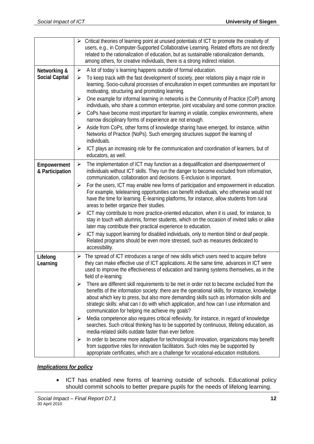|                                | > Critical theories of learning point at unused potentials of ICT to promote the creativity of<br>users, e.g., in Computer-Supported Collaborative Learning. Related efforts are not directly<br>related to the rationalization of education, but as sustainable rationalization demands,<br>among others, for creative individuals, there is a strong indirect relation.                                                                                      |
|--------------------------------|----------------------------------------------------------------------------------------------------------------------------------------------------------------------------------------------------------------------------------------------------------------------------------------------------------------------------------------------------------------------------------------------------------------------------------------------------------------|
| Networking &                   | A lot of today's learning happens outside of formal education.<br>$\blacktriangleright$                                                                                                                                                                                                                                                                                                                                                                        |
| <b>Social Capital</b>          | To keep track with the fast development of society, peer relations play a major role in<br>≻<br>learning. Socio-cultural processes of enculturation in expert communities are important for<br>motivating, structuring and promoting learning.                                                                                                                                                                                                                 |
|                                | One example for informal learning in networks is the Community of Practice (CoP) among<br>➤<br>individuals, who share a common enterprise, joint vocabulary and some common practice.                                                                                                                                                                                                                                                                          |
|                                | CoPs have become most important for learning in volatile, complex environments, where<br>➤<br>narrow disciplinary forms of experience are not enough.                                                                                                                                                                                                                                                                                                          |
|                                | Aside from CoPs, other forms of knowledge sharing have emerged, for instance, within<br>$\blacktriangleright$<br>Networks of Practice (NoPs). Such emerging structures support the learning of<br>individuals.                                                                                                                                                                                                                                                 |
|                                | ICT plays an increasing role for the communication and coordination of learners, but of<br>$\blacktriangleright$<br>educators, as well.                                                                                                                                                                                                                                                                                                                        |
| Empowerment<br>& Participation | The implementation of ICT may function as a dequalification and disempowerment of<br>$\blacktriangleright$<br>individuals without ICT skills. They run the danger to become excluded from information,<br>communication, collaboration and decisions. E-inclusion is important.                                                                                                                                                                                |
|                                | For the users, ICT may enable new forms of participation and empowerment in education.<br>➤<br>For example, telelearning opportunities can benefit individuals, who otherwise would not<br>have the time for learning. E-learning platforms, for instance, allow students from rural<br>areas to better organize their studies.                                                                                                                                |
|                                | ICT may contribute to more practice-oriented education, when it is used, for instance, to<br>$\blacktriangleright$<br>stay in touch with alumnis, former students, which on the occasion of invited talks or alike<br>later may contribute their practical experience to education.                                                                                                                                                                            |
|                                | ICT may support learning for disabled individuals, only to mention blind or deaf people.<br>$\blacktriangleright$<br>Related programs should be even more stressed, such as measures dedicated to<br>accessibility.                                                                                                                                                                                                                                            |
| Lifelong<br>Learning           | $\triangleright$ The spread of ICT introduces a range of new skills which users need to acquire before<br>they can make effective use of ICT applications. At the same time, advances in ICT were<br>used to improve the effectiveness of education and training systems themselves, as in the<br>field of e-learning.                                                                                                                                         |
|                                | There are different skill requirements to be met in order not to become excluded from the<br>$\blacktriangleright$<br>benefits of the information society: there are the operational skills, for instance, knowledge<br>about which key to press, but also more demanding skills such as information skills and<br>strategic skills: what can I do with which application, and how can I use information and<br>communication for helping me achieve my goals? |
|                                | Media competence also requires critical reflexivity, for instance, in regard of knowledge<br>➤<br>searches. Such critical thinking has to be supported by continuous, lifelong education, as<br>media-related skills outdate faster than ever before.                                                                                                                                                                                                          |
|                                | In order to become more adaptive for technological innovation, organizations may benefit<br>➤<br>from supportive roles for innovation facilitators. Such roles may be supported by<br>appropriate certificates, which are a challenge for vocational-education institutions.                                                                                                                                                                                   |

# *Implications for policy*

• ICT has enabled new forms of learning outside of schools. Educational policy should commit schools to better prepare pupils for the needs of lifelong learning.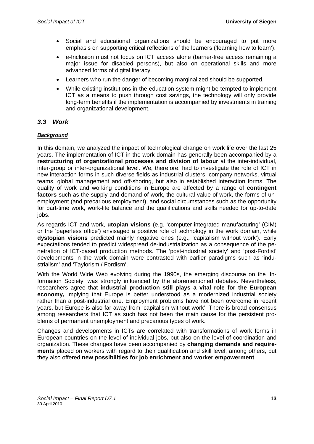- Social and educational organizations should be encouraged to put more emphasis on supporting critical reflections of the learners ('learning how to learn').
- e-Inclusion must not focus on ICT access alone (barrier-free access remaining a major issue for disabled persons), but also on operational skills and more advanced forms of digital literacy.
- Learners who run the danger of becoming marginalized should be supported.
- While existing institutions in the education system might be tempted to implement ICT as a means to push through cost savings, the technology will only provide long-term benefits if the implementation is accompanied by investments in training and organizational development.

# *3.3 Work*

## *Background*

In this domain, we analyzed the impact of technological change on work life over the last 25 years. The implementation of ICT in the work domain has generally been accompanied by a **restructuring of organizational processes and division of labour** at the inter-individual, inter-group or inter-organizational level. We, therefore, had to investigate the role of ICT in new interaction forms in such diverse fields as industrial clusters, company networks, virtual teams, global management and off-shoring, but also in established interaction forms. The quality of work and working conditions in Europe are affected by a range of **contingent factors** such as the supply and demand of work, the cultural value of work, the forms of unemployment (and precarious employment), and social circumstances such as the opportunity for part-time work, work-life balance and the qualifications and skills needed for up-to-date jobs.

As regards ICT and work, **utopian visions** (e.g. 'computer-integrated manufacturing' (CIM) or the 'paperless office') envisaged a positive role of technology in the work domain, while **dystopian visions** predicted mainly negative ones (e.g., 'capitalism without work'). Early expectations tended to predict widespread de-industrialization as a consequence of the penetration of ICT-based production methods. The 'post-industrial society' and 'post-Fordist' developments in the work domain were contrasted with earlier paradigms such as 'industrialism' and 'Taylorism / Fordism'.

With the World Wide Web evolving during the 1990s, the emerging discourse on the 'Information Society' was strongly influenced by the aforementioned debates. Nevertheless, researchers agree that **industrial production still plays a vital role for the European economy,** implying that Europe is better understood as a modernized industrial society rather than a post-industrial one. Employment problems have not been overcome in recent years, but Europe is also far away from 'capitalism without work'. There is broad consensus among researchers that ICT as such has not been the main cause for the persistent problems of permanent unemployment and precarious types of work.

Changes and developments in ICTs are correlated with transformations of work forms in European countries on the level of individual jobs, but also on the level of coordination and organization. These changes have been accompanied by **changing demands and requirements** placed on workers with regard to their qualification and skill level, among others, but they also offered **new possibilities for job enrichment and worker empowerment**.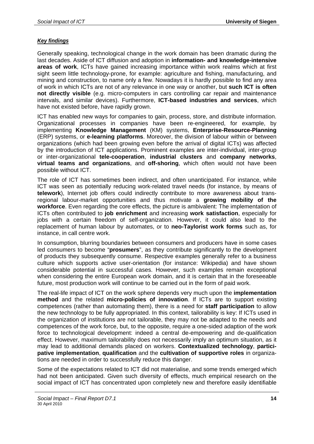# *Key findings*

Generally speaking, technological change in the work domain has been dramatic during the last decades. Aside of ICT diffusion and adoption in **information- and knowledge-intensive areas of work**, ICTs have gained increasing importance within work realms which at first sight seem little technology-prone, for example: agriculture and fishing, manufacturing, and mining and construction, to name only a few. Nowadays it is hardly possible to find any area of work in which ICTs are not of any relevance in one way or another, but **such ICT is often not directly visible** (e.g. micro-computers in cars controlling car repair and maintenance intervals, and similar devices). Furthermore, **ICT-based industries and services**, which have not existed before, have rapidly grown.

ICT has enabled new ways for companies to gain, process, store, and distribute information. Organizational processes in companies have been re-engineered, for example, by implementing **Knowledge Management** (KM) systems, **Enterprise-Resource-Planning**  (ERP) systems, or **e-learning platforms**. Moreover, the division of labour within or between organizations (which had been growing even before the arrival of digital ICTs) was affected by the introduction of ICT applications. Prominent examples are inter-individual, inter-group or inter-organizational **tele-cooperation**, **industrial clusters** and **company networks**, **virtual teams and organizations**, and **off-shoring**, which often would not have been possible without ICT.

The role of ICT has sometimes been indirect, and often unanticipated. For instance, while ICT was seen as potentially reducing work-related travel needs (for instance, by means of **telework**), Internet job offers could indirectly contribute to more awareness about transregional labour-market opportunities and thus motivate a **growing mobility of the workforce**. Even regarding the core effects, the picture is ambivalent: The implementation of ICTs often contributed to **job enrichment** and increasing **work satisfaction**, especially for jobs with a certain freedom of self-organization. However, it could also lead to the replacement of human labour by automates, or to **neo-Taylorist work forms** such as, for instance, in call centre work.

In consumption, blurring boundaries between consumers and producers have in some cases led consumers to become "**prosumers**", as they contribute significantly to the development of products they subsequently consume. Respective examples generally refer to a business culture which supports active user-orientation (for instance: Wikipedia) and have shown considerable potential in successful cases. However, such examples remain exceptional when considering the entire European work domain, and it is certain that in the foreseeable future, most production work will continue to be carried out in the form of paid work.

The real-life impact of ICT on the work sphere depends very much upon the **implementation method** and the related **micro-policies of innovation**. If ICTs are to support existing competences (rather than automating them), there is a need for **staff participation** to allow the new technology to be fully appropriated. In this context, tailorability is key: If ICTs used in the organization of institutions are not tailorable, they may not be adapted to the needs and competences of the work force, but, to the opposite, require a one-sided adaption of the work force to technological development: indeed a central de-empowering and de-qualification effect. However, maximum tailorability does not necessarily imply an optimum situation, as it may lead to additional demands placed on workers. **Contextualized technology**, **participative implementation**, **qualification** and the **cultivation of supportive roles** in organizations are needed in order to successfully reduce this danger.

Some of the expectations related to ICT did not materialise, and some trends emerged which had not been anticipated. Given such diversity of effects, much empirical research on the social impact of ICT has concentrated upon completely new and therefore easily identifiable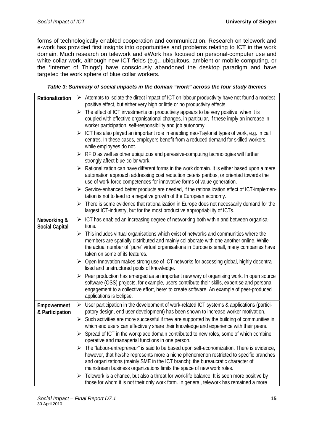forms of technologically enabled cooperation and communication. Research on telework and e-work has provided first insights into opportunities and problems relating to ICT in the work domain. Much research on telework and eWork has focused on personal-computer use and white-collar work, although new ICT fields (e.g., ubiquitous, ambient or mobile computing, or the 'Internet of Things') have consciously abandoned the desktop paradigm and have targeted the work sphere of blue collar workers.

# *Table 3: Summary of social impacts in the domain "work" across the four study themes*

| Rationalization                       | $\triangleright$ Attempts to isolate the direct impact of ICT on labour productivity have not found a modest<br>positive effect, but either very high or little or no productivity effects.                                                                                                                                                           |
|---------------------------------------|-------------------------------------------------------------------------------------------------------------------------------------------------------------------------------------------------------------------------------------------------------------------------------------------------------------------------------------------------------|
|                                       | $\triangleright$ The effect of ICT investments on productivity appears to be very positive, when it is<br>coupled with effective organisational changes, in particular, if these imply an increase in<br>worker participation, self-responsibility and job autonomy.                                                                                  |
|                                       | $\triangleright$ ICT has also played an important role in enabling neo-Taylorist types of work, e.g. in call<br>centres. In these cases, employers benefit from a reduced demand for skilled workers,<br>while employees do not.                                                                                                                      |
|                                       | RFID as well as other ubiquitous and pervasive-computing technologies will further<br>➤<br>strongly affect blue-collar work.                                                                                                                                                                                                                          |
|                                       | Rationalization can have different forms in the work domain. It is either based upon a mere<br>➤<br>automation approach addressing cost reduction ceteris paribus, or oriented towards the<br>use of work-force competences for innovative forms of value generation.                                                                                 |
|                                       | $\triangleright$ Service-enhanced better products are needed, if the rationalization effect of ICT-implemen-<br>tation is not to lead to a negative growth of the European economy.                                                                                                                                                                   |
|                                       | There is some evidence that rationalization in Europe does not necessarily demand for the<br>➤<br>largest ICT-industry, but for the most productive appropriability of ICTs.                                                                                                                                                                          |
| Networking &<br><b>Social Capital</b> | $\triangleright$ ICT has enabled an increasing degree of networking both within and between organisa-<br>tions.                                                                                                                                                                                                                                       |
|                                       | $\triangleright$ This includes virtual organisations which exist of networks and communities where the<br>members are spatially distributed and mainly collaborate with one another online. While<br>the actual number of "pure" virtual organisations in Europe is small, many companies have<br>taken on some of its features.                      |
|                                       | Open Innovation makes strong use of ICT networks for accessing global, highly decentra-<br>➤<br>lised and unstructured pools of knowledge.                                                                                                                                                                                                            |
|                                       | $\triangleright$ Peer production has emerged as an important new way of organising work. In open source<br>software (OSS) projects, for example, users contribute their skills, expertise and personal<br>engagement to a collective effort, here: to create software. An example of peer-produced<br>applications is Eclipse.                        |
| Empowerment<br>& Participation        | $\triangleright$ User participation in the development of work-related ICT systems & applications (partici-<br>patory design, end user development) has been shown to increase worker motivation.                                                                                                                                                     |
|                                       | Such activities are more successful if they are supported by the building of communities in<br>➤<br>which end users can effectively share their knowledge and experience with their peers.                                                                                                                                                            |
|                                       | $\triangleright$ Spread of ICT in the workplace domain contributed to new roles, some of which combine<br>operative and managerial functions in one person.                                                                                                                                                                                           |
|                                       | The "labour-entrepreneur" is said to be based upon self-economization. There is evidence,<br>➤<br>however, that he/she represents more a niche phenomenon restricted to specific branches<br>and organizations (mainly SME in the ICT branch): the bureaucratic character of<br>mainstream business organizations limits the space of new work roles. |
|                                       | Telework is a chance, but also a threat for work-life balance. It is seen more positive by<br>➤<br>those for whom it is not their only work form. In general, telework has remained a more                                                                                                                                                            |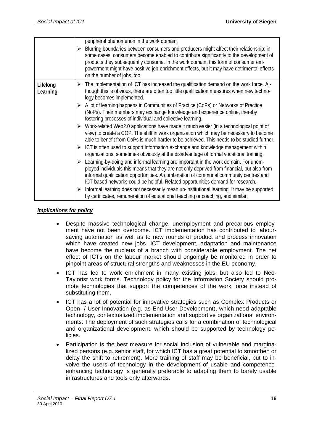|                      | peripheral phenomenon in the work domain.                                                                                                                                                                                                                                                                                                                                                                           |
|----------------------|---------------------------------------------------------------------------------------------------------------------------------------------------------------------------------------------------------------------------------------------------------------------------------------------------------------------------------------------------------------------------------------------------------------------|
|                      | $\triangleright$ Blurring boundaries between consumers and producers might affect their relationship: in<br>some cases, consumers become enabled to contribute significantly to the development of<br>products they subsequently consume. In the work domain, this form of consumer em-<br>powerment might have positive job-enrichment effects, but it may have detrimental effects<br>on the number of jobs, too. |
| Lifelong<br>Learning | The implementation of ICT has increased the qualification demand on the work force. Al-<br>➤<br>though this is obvious, there are often too little qualification measures when new techno-<br>logy becomes implemented.                                                                                                                                                                                             |
|                      | $\triangleright$ A lot of learning happens in Communities of Practice (CoPs) or Networks of Practice<br>(NoPs). Their members may exchange knowledge and experience online, thereby<br>fostering processes of individual and collective learning.                                                                                                                                                                   |
|                      | $\triangleright$ Work-related Web2.0 applications have made it much easier (in a technological point of<br>view) to create a COP. The shift in work organization which may be necessary to become<br>able to benefit from CoPs is much harder to be achieved. This needs to be studied further.                                                                                                                     |
|                      | $\triangleright$ ICT is often used to support information exchange and knowledge management within<br>organizations, sometimes obviously at the disadvantage of formal vocational training.                                                                                                                                                                                                                         |
|                      | $\triangleright$ Learning-by-doing and informal learning are important in the work domain. For unem-<br>ployed individuals this means that they are not only deprived from financial, but also from<br>informal qualification opportunities. A combination of communal community centres and<br>ICT-based networks could be helpful. Related opportunities demand for research.                                     |
|                      | $\triangleright$ Informal learning does not necessarily mean un-institutional learning. It may be supported<br>by certificates, remuneration of educational teaching or coaching, and similar.                                                                                                                                                                                                                      |

## *Implications for policy*

- Despite massive technological change, unemployment and precarious employment have not been overcome. ICT implementation has contributed to laboursaving automation as well as to new rounds of product and process innovation which have created new jobs. ICT development, adaptation and maintenance have become the nucleus of a branch with considerable employment. The net effect of ICTs on the labour market should ongoingly be monitored in order to pinpoint areas of structural strengths and weaknesses in the EU economy.
- ICT has led to work enrichment in many existing jobs, but also led to Neo-Taylorist work forms. Technology policy for the Information Society should promote technologies that support the competences of the work force instead of substituting them.
- ICT has a lot of potential for innovative strategies such as Complex Products or Open- / User Innovation (e.g. as End User Development), which need adaptable technology, contextualized implementation and supportive organizational environments. The deployment of such strategies calls for a combination of technological and organizational development, which should be supported by technology policies.
- Participation is the best measure for social inclusion of vulnerable and marginalized persons (e.g. senior staff, for which ICT has a great potential to smoothen or delay the shift to retirement). More training of staff may be beneficial, but to involve the users of technology in the development of usable and competenceenhancing technology is generally preferable to adapting them to barely usable infrastructures and tools only afterwards.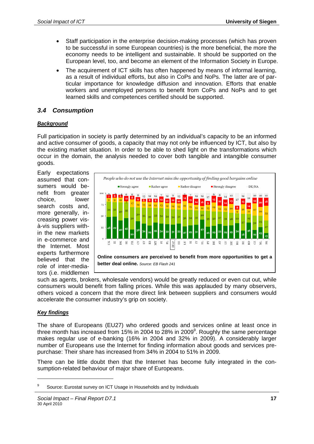- Staff participation in the enterprise decision-making processes (which has proven to be successful in some European countries) is the more beneficial, the more the economy needs to be intelligent and sustainable. It should be supported on the European level, too, and become an element of the Information Society in Europe.
- The acquirement of ICT skills has often happened by means of informal learning, as a result of individual efforts, but also in CoPs and NoPs. The latter are of particular importance for knowledge diffusion and innovation. Efforts that enable workers and unemployed persons to benefit from CoPs and NoPs and to get learned skills and competences certified should be supported.

# *3.4 Consumption*

#### *Background*

Full participation in society is partly determined by an individual's capacity to be an informed and active consumer of goods, a capacity that may not only be influenced by ICT, but also by the existing market situation. In order to be able to shed light on the transformations which occur in the domain, the analysis needed to cover both tangible and intangible consumer goods.

Early expectations assumed that consumers would benefit from greater choice, lower search costs and, more generally, increasing power visà-vis suppliers within the new markets in e-commerce and the Internet. Most experts furthermore believed that the role of inter-mediators (i.e. middlemen



such as agents, brokers, wholesale vendors) would be greatly reduced or even cut out, while consumers would benefit from falling prices. While this was applauded by many observers, others voiced a concern that the more direct link between suppliers and consumers would accelerate the consumer industry's grip on society.

#### *Key findings*

1

The share of Europeans (EU27) who ordered goods and services online at least once in three month has increased from 15% in 2004 to 28% in 2009 $^9$ . Roughly the same percentage makes regular use of e-banking (16% in 2004 and 32% in 2009). A considerably larger number of Europeans use the Internet for finding information about goods and services prepurchase: Their share has increased from 34% in 2004 to 51% in 2009.

There can be little doubt then that the Internet has become fully integrated in the consumption-related behaviour of major share of Europeans.

<sup>9</sup> Source: Eurostat survey on ICT Usage in Households and by Individuals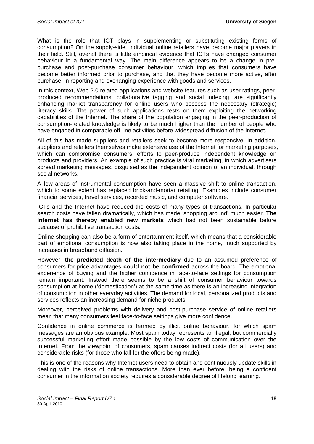What is the role that ICT plays in supplementing or substituting existing forms of consumption? On the supply-side, individual online retailers have become major players in their field. Still, overall there is little empirical evidence that ICTs have changed consumer behaviour in a fundamental way. The main difference appears to be a change in prepurchase and post-purchase consumer behaviour, which implies that consumers have become better informed prior to purchase, and that they have become more active, after purchase, in reporting and exchanging experience with goods and services.

In this context, Web 2.0 related applications and website features such as user ratings, peerproduced recommendations, collaborative tagging and social indexing, are significantly enhancing market transparency for online users who possess the necessary (strategic) literacy skills. The power of such applications rests on them exploiting the networking capabilities of the Internet. The share of the population engaging in the peer-production of consumption-related knowledge is likely to be much higher than the number of people who have engaged in comparable off-line activities before widespread diffusion of the Internet.

All of this has made suppliers and retailers seek to become more responsive. In addition, suppliers and retailers themselves make extensive use of the Internet for marketing purposes, which can compromise consumers' efforts to peer-produce independent knowledge on products and providers. An example of such practice is viral marketing, in which advertisers spread marketing messages, disguised as the independent opinion of an individual, through social networks.

A few areas of instrumental consumption have seen a massive shift to online transaction, which to some extent has replaced brick-and-mortar retailing. Examples include consumer financial services, travel services, recorded music, and computer software.

ICTs and the Internet have reduced the costs of many types of transactions. In particular search costs have fallen dramatically, which has made 'shopping around' much easier. **The Internet has thereby enabled new markets** which had not been sustainable before because of prohibitive transaction costs.

Online shopping can also be a form of entertainment itself, which means that a considerable part of emotional consumption is now also taking place in the home, much supported by increases in broadband diffusion.

However, **the predicted death of the intermediary** due to an assumed preference of consumers for price advantages **could not be confirmed** across the board. The emotional experience of buying and the higher confidence in face-to-face settings for consumption remain important. Instead there seems to be a shift of consumer behaviour towards consumption at home ('domestication') at the same time as there is an increasing integration of consumption in other everyday activities. The demand for local, personalized products and services reflects an increasing demand for niche products.

Moreover, perceived problems with delivery and post-purchase service of online retailers mean that many consumers feel face-to-face settings give more confidence.

Confidence in online commerce is harmed by illicit online behaviour, for which spam messages are an obvious example. Most spam today represents an illegal, but commercially successful marketing effort made possible by the low costs of communication over the Internet. From the viewpoint of consumers, spam causes indirect costs (for all users) and considerable risks (for those who fall for the offers being made).

This is one of the reasons why Internet users need to obtain and continuously update skills in dealing with the risks of online transactions. More than ever before, being a confident consumer in the information society requires a considerable degree of lifelong learning.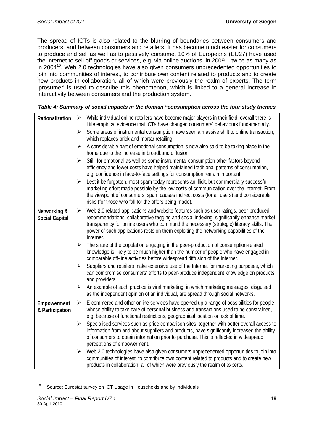The spread of ICTs is also related to the blurring of boundaries between consumers and producers, and between consumers and retailers. It has become much easier for consumers to produce and sell as well as to passively consume. 10% of Europeans (EU27) have used the Internet to sell off goods or services, e.g. via online auctions, in 2009 – twice as many as in 2004<sup>10</sup>. Web 2.0 technologies have also given consumers unprecedented opportunities to join into communities of interest, to contribute own content related to products and to create new products in collaboration, all of which were previously the realm of experts. The term 'prosumer' is used to describe this phenomenon, which is linked to a general increase in interactivity between consumers and the production system.

| Table 4: Summary of social impacts in the domain "consumption across the four study themes |  |
|--------------------------------------------------------------------------------------------|--|
|--------------------------------------------------------------------------------------------|--|

| Rationalization                       | $\blacktriangleright$ | While individual online retailers have become major players in their field, overall there is<br>little empirical evidence that ICTs have changed consumers' behaviours fundamentally.                                                                                                                                                                                                |
|---------------------------------------|-----------------------|--------------------------------------------------------------------------------------------------------------------------------------------------------------------------------------------------------------------------------------------------------------------------------------------------------------------------------------------------------------------------------------|
|                                       | $\blacktriangleright$ | Some areas of instrumental consumption have seen a massive shift to online transaction,<br>which replaces brick-and-mortar retailing.                                                                                                                                                                                                                                                |
|                                       | $\blacktriangleright$ | A considerable part of emotional consumption is now also said to be taking place in the<br>home due to the increase in broadband diffusion.                                                                                                                                                                                                                                          |
|                                       | ➤                     | Still, for emotional as well as some instrumental consumption other factors beyond<br>efficiency and lower costs have helped maintained traditional patterns of consumption,<br>e.g. confidence in face-to-face settings for consumption remain important.                                                                                                                           |
|                                       | $\blacktriangleright$ | Lest it be forgotten, most spam today represents an illicit, but commercially successful<br>marketing effort made possible by the low costs of communication over the Internet. From<br>the viewpoint of consumers, spam causes indirect costs (for all users) and considerable<br>risks (for those who fall for the offers being made).                                             |
| Networking &<br><b>Social Capital</b> | ➤                     | Web 2.0 related applications and website features such as user ratings, peer-produced<br>recommendations, collaborative tagging and social indexing, significantly enhance market<br>transparency for online users who command the necessary (strategic) literacy skills. The<br>power of such applications rests on them exploiting the networking capabilities of the<br>Internet. |
|                                       | $\blacktriangleright$ | The share of the population engaging in the peer-production of consumption-related<br>knowledge is likely to be much higher than the number of people who have engaged in<br>comparable off-line activities before widespread diffusion of the Internet.                                                                                                                             |
|                                       | $\blacktriangleright$ | Suppliers and retailers make extensive use of the Internet for marketing purposes, which<br>can compromise consumers' efforts to peer-produce independent knowledge on products<br>and providers.                                                                                                                                                                                    |
|                                       | $\blacktriangleright$ | An example of such practice is viral marketing, in which marketing messages, disguised<br>as the independent opinion of an individual, are spread through social networks.                                                                                                                                                                                                           |
| Empowerment<br>& Participation        | $\blacktriangleright$ | E-commerce and other online services have opened up a range of possibilities for people<br>whose ability to take care of personal business and transactions used to be constrained,<br>e.g. because of functional restrictions, geographical location or lack of time.                                                                                                               |
|                                       | $\blacktriangleright$ | Specialised services such as price comparison sites, together with better overall access to<br>information from and about suppliers and products, have significantly increased the ability<br>of consumers to obtain information prior to purchase. This is reflected in widespread<br>perceptions of empowerment.                                                                   |
|                                       | $\blacktriangleright$ | Web 2.0 technologies have also given consumers unprecedented opportunities to join into<br>communities of interest, to contribute own content related to products and to create new<br>products in collaboration, all of which were previously the realm of experts.                                                                                                                 |

<sup>10</sup> Source: Eurostat survey on ICT Usage in Households and by Individuals

1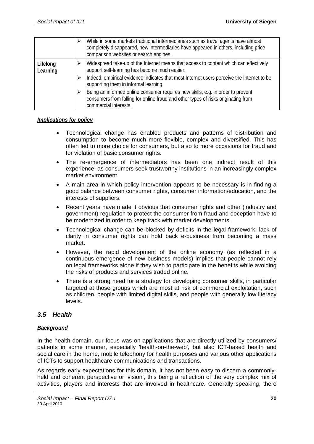|                      | ⋗ | While in some markets traditional intermediaries such as travel agents have almost<br>completely disappeared, new intermediaries have appeared in others, including price<br>comparison websites or search engines. |
|----------------------|---|---------------------------------------------------------------------------------------------------------------------------------------------------------------------------------------------------------------------|
| Lifelong<br>Learning | ⋗ | Widespread take-up of the Internet means that access to content which can effectively<br>support self-learning has become much easier.                                                                              |
|                      |   | Indeed, empirical evidence indicates that most Internet users perceive the Internet to be<br>supporting them in informal learning.                                                                                  |
|                      |   | Being an informed online consumer requires new skills, e.g. in order to prevent<br>consumers from falling for online fraud and other types of risks originating from<br>commercial interests.                       |

## *Implications for policy*

- Technological change has enabled products and patterns of distribution and consumption to become much more flexible, complex and diversified. This has often led to more choice for consumers, but also to more occasions for fraud and for violation of basic consumer rights.
- The re-emergence of intermediators has been one indirect result of this experience, as consumers seek trustworthy institutions in an increasingly complex market environment.
- A main area in which policy intervention appears to be necessary is in finding a good balance between consumer rights, consumer information/education, and the interests of suppliers.
- Recent years have made it obvious that consumer rights and other (industry and government) regulation to protect the consumer from fraud and deception have to be modernized in order to keep track with market developments.
- Technological change can be blocked by deficits in the legal framework: lack of clarity in consumer rights can hold back e-business from becoming a mass market.
- However, the rapid development of the online economy (as reflected in a continuous emergence of new business models) implies that people cannot rely on legal frameworks alone if they wish to participate in the benefits while avoiding the risks of products and services traded online.
- There is a strong need for a strategy for developing consumer skills, in particular targeted at those groups which are most at risk of commercial exploitation, such as children, people with limited digital skills, and people with generally low literacy levels.

# *3.5 Health*

# *Background*

In the health domain, our focus was on applications that are directly utilized by consumers/ patients in some manner, especially 'health-on-the-web', but also ICT-based health and social care in the home, mobile telephony for health purposes and various other applications of ICTs to support healthcare communications and transactions.

As regards early expectations for this domain, it has not been easy to discern a commonlyheld and coherent perspective or 'vision', this being a reflection of the very complex mix of activities, players and interests that are involved in healthcare. Generally speaking, there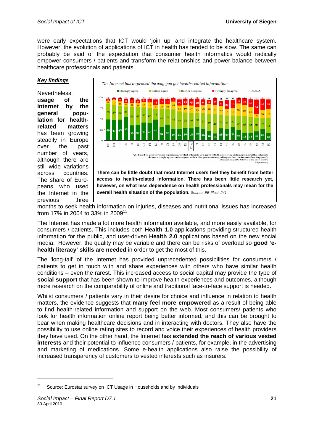were early expectations that ICT would 'join up' and integrate the healthcare system. However, the evolution of applications of ICT in health has tended to be slow. The same can probably be said of the expectation that consumer health informatics would radically empower consumers / patients and transform the relationships and power balance between healthcare professionals and patients.

#### *Key findings*

Nevertheless, **usage of the Internet by the general population for healthrelated matters** has been growing steadily in Europe over the past number of years, although there are still wide variations across countries. The share of Europeans who used the Internet in the previous three



months to seek health information on injuries, diseases and nutritional issues has increased from 17% in 2004 to 33% in 2009<sup>11</sup>.

The Internet has made a lot more health information available, and more easily available, for consumers / patients. This includes both **Health 1.0** applications providing structured health information for the public, and user-driven **Health 2.0** applications based on the new social media. However, the quality may be variable and there can be risks of overload so **good 'ehealth literacy' skills are needed** in order to get the most of this.

The 'long-tail' of the Internet has provided unprecedented possibilities for consumers / patients to get in touch with and share experiences with others who have similar health conditions – even the rarest. This increased access to social capital may provide the type of **social support** that has been shown to improve health experiences and outcomes, although more research on the comparability of online and traditional face-to-face support is needed.

Whilst consumers / patients vary in their desire for choice and influence in relation to health matters, the evidence suggests that **many feel more empowered** as a result of being able to find health-related information and support on the web. Most consumers/ patients who look for health information online report being better informed, and this can be brought to bear when making healthcare decisions and in interacting with doctors. They also have the possibility to use online rating sites to record and voice their experiences of health providers they have used. On the other hand, the Internet has **extended the reach of various vested interests** and their potential to influence consumers / patients, for example, in the advertising and marketing of medications. Some e-health applications also raise the possibility of increased transparency of customers to vested interests such as insurers.

1

<sup>&</sup>lt;sup>11</sup> Source: Eurostat survey on ICT Usage in Households and by Individuals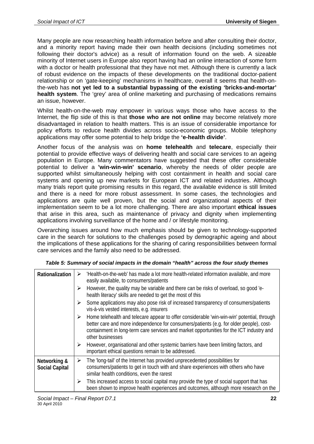Many people are now researching health information before and after consulting their doctor, and a minority report having made their own health decisions (including sometimes not following their doctor's advice) as a result of information found on the web. A sizeable minority of Internet users in Europe also report having had an online interaction of some form with a doctor or health professional that they have not met. Although there is currently a lack of robust evidence on the impacts of these developments on the traditional doctor-patient relationship or on 'gate-keeping' mechanisms in healthcare, overall it seems that health-onthe-web has **not yet led to a substantial bypassing of the existing 'bricks-and-mortar' health system**. The 'grey' area of online marketing and purchasing of medications remains an issue, however.

Whilst health-on-the-web may empower in various ways those who have access to the Internet, the flip side of this is that **those who are not online** may become relatively more disadvantaged in relation to health matters. This is an issue of considerable importance for policy efforts to reduce health divides across socio-economic groups. Mobile telephony applications may offer some potential to help bridge the **'e-health divide'**.

Another focus of the analysis was on **home telehealth** and **telecare**, especially their potential to provide effective ways of delivering health and social care services to an ageing population in Europe. Many commentators have suggested that these offer considerable potential to deliver a **'win-win-win' scenario**, whereby the needs of older people are supported whilst simultaneously helping with cost containment in health and social care systems and opening up new markets for European ICT and related industries. Although many trials report quite promising results in this regard, the available evidence is still limited and there is a need for more robust assessment. In some cases, the technologies and applications are quite well proven, but the social and organizational aspects of their implementation seem to be a lot more challenging. There are also important **ethical issues** that arise in this area, such as maintenance of privacy and dignity when implementing applications involving surveillance of the home and / or lifestyle monitoring.

Overarching issues around how much emphasis should be given to technology-supported care in the search for solutions to the challenges posed by demographic ageing and about the implications of these applications for the sharing of caring responsibilities between formal care services and the family also need to be addressed.

| Table 5: Summary of social impacts in the domain "health" across the four study themes |  |
|----------------------------------------------------------------------------------------|--|
|----------------------------------------------------------------------------------------|--|

| Rationalization                       | ➤                     | 'Health-on-the-web' has made a lot more health-related information available, and more<br>easily available, to consumers/patients                                                                                                                                                                     |
|---------------------------------------|-----------------------|-------------------------------------------------------------------------------------------------------------------------------------------------------------------------------------------------------------------------------------------------------------------------------------------------------|
|                                       | ≻                     | However, the quality may be variable and there can be risks of overload, so good 'e-<br>health literacy' skills are needed to get the most of this                                                                                                                                                    |
|                                       | ➤                     | Some applications may also pose risk of increased transparency of consumers/patients<br>vis-à-vis vested interests, e.g. insurers                                                                                                                                                                     |
|                                       | ➤                     | Home telehealth and telecare appear to offer considerable 'win-win-win' potential, through<br>better care and more independence for consumers/patients (e.g. for older people), cost-<br>containment in long-term care services and market opportunities for the ICT industry and<br>other businesses |
|                                       | $\blacktriangleright$ | However, organisational and other systemic barriers have been limiting factors, and<br>important ethical questions remain to be addressed.                                                                                                                                                            |
| Networking &<br><b>Social Capital</b> | ➤                     | The 'long-tail' of the Internet has provided unprecedented possibilities for<br>consumers/patients to get in touch with and share experiences with others who have<br>similar health conditions, even the rarest                                                                                      |
|                                       | ≻                     | This increased access to social capital may provide the type of social support that has<br>been shown to improve health experiences and outcomes, although more research on the                                                                                                                       |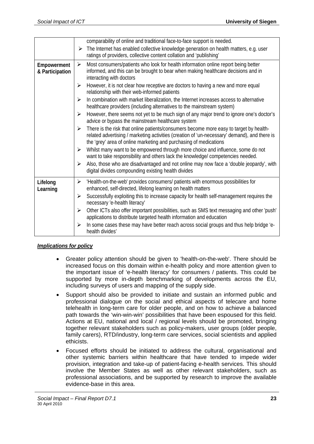|                                | comparability of online and traditional face-to-face support is needed.<br>$\triangleright$ The Internet has enabled collective knowledge generation on health matters, e.g. user                                                                                |
|--------------------------------|------------------------------------------------------------------------------------------------------------------------------------------------------------------------------------------------------------------------------------------------------------------|
|                                | ratings of providers, collective content collation and 'publishing'                                                                                                                                                                                              |
| Empowerment<br>& Participation | Most consumers/patients who look for health information online report being better<br>➤<br>informed, and this can be brought to bear when making healthcare decisions and in<br>interacting with doctors                                                         |
|                                | However, it is not clear how receptive are doctors to having a new and more equal<br>➤<br>relationship with their web-informed patients                                                                                                                          |
|                                | In combination with market liberalization, the Internet increases access to alternative<br>➤<br>healthcare providers (including alternatives to the mainstream system)                                                                                           |
|                                | However, there seems not yet to be much sign of any major trend to ignore one's doctor's<br>➤<br>advice or bypass the mainstream healthcare system                                                                                                               |
|                                | There is the risk that online patients/consumers become more easy to target by health-<br>➤<br>related advertising / marketing activities (creation of 'un-necessary' demand), and there is<br>the 'grey' area of online marketing and purchasing of medications |
|                                | Whilst many want to be empowered through more choice and influence, some do not<br>➤<br>want to take responsibility and others lack the knowledge/ competencies needed.                                                                                          |
|                                | Also, those who are disadvantaged and not online may now face a 'double jeopardy', with<br>➤<br>digital divides compounding existing health divides                                                                                                              |
| Lifelong<br>Learning           | 'Health-on-the-web' provides consumers/ patients with enormous possibilities for<br>➤<br>enhanced, self-directed, lifelong learning on health matters                                                                                                            |
|                                | Successfully exploiting this to increase capacity for health self-management requires the<br>➤<br>necessary 'e-health literacy'                                                                                                                                  |
|                                | Other ICTs also offer important possibilities, such as SMS text messaging and other 'push'<br>➤<br>applications to distribute targeted health information and education                                                                                          |
|                                | In some cases these may have better reach across social groups and thus help bridge 'e-<br>➤<br>health divides'                                                                                                                                                  |

# *Implications for policy*

- Greater policy attention should be given to 'health-on-the-web'. There should be increased focus on this domain within e-health policy and more attention given to the important issue of 'e-health literacy' for consumers / patients. This could be supported by more in-depth benchmarking of developments across the EU, including surveys of users and mapping of the supply side.
- Support should also be provided to initiate and sustain an informed public and professional dialogue on the social and ethical aspects of telecare and home telehealth in long-term care for older people, and on how to achieve a balanced path towards the 'win-win-win' possibilities that have been espoused for this field. Actions at EU, national and local / regional levels should be promoted, bringing together relevant stakeholders such as policy-makers, user groups (older people, family carers), RTD/industry, long-term care services, social scientists and applied ethicists.
- Focused efforts should be initiated to address the cultural, organisational and other systemic barriers within healthcare that have tended to impede wider provision, integration and take-up of patient-facing e-health services. This should involve the Member States as well as other relevant stakeholders, such as professional associations, and be supported by research to improve the available evidence-base in this area.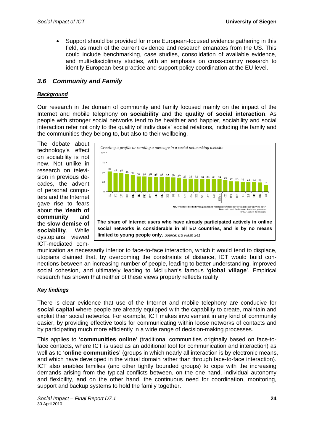• Support should be provided for more European-focused evidence gathering in this field, as much of the current evidence and research emanates from the US. This could include benchmarking, case studies, consolidation of available evidence, and multi-disciplinary studies, with an emphasis on cross-country research to identify European best practice and support policy coordination at the EU level.

# *3.6 Community and Family*

## *Background*

Our research in the domain of community and family focused mainly on the impact of the Internet and mobile telephony on **sociability** and the **quality of social interaction**. As people with stronger social networks tend to be healthier and happier, sociability and social interaction refer not only to the quality of individuals' social relations, including the family and the communities they belong to, but also to their wellbeing.

The debate about technology's effect on sociability is not new. Not unlike in research on television in previous decades, the advent of personal computers and the Internet gave rise to fears about the '**death of community**' and the **slow demise of sociability**. While dystopians viewed ICT-mediated com-



munication as necessarily inferior to face-to-face interaction, which it would tend to displace, utopians claimed that, by overcoming the constraints of distance, ICT would build connections between an increasing number of people, leading to better understanding, improved social cohesion, and ultimately leading to McLuhan's famous '**global village**'. Empirical research has shown that neither of these views properly reflects reality.

#### *Key findings*

There is clear evidence that use of the Internet and mobile telephony are conducive for **social capital** where people are already equipped with the capability to create, maintain and exploit their social networks. For example, ICT makes involvement in any kind of community easier, by providing effective tools for communicating within loose networks of contacts and by participating much more efficiently in a wide range of decision-making processes.

This applies to '**communities online**' (traditional communities originally based on face-toface contacts, where ICT is used as an additional tool for communication and interaction) as well as to '**online communities**' (groups in which nearly all interaction is by electronic means, and which have developed in the virtual domain rather than through face-to-face interaction). ICT also enables families (and other tightly bounded groups) to cope with the increasing demands arising from the typical conflicts between, on the one hand, individual autonomy and flexibility, and on the other hand, the continuous need for coordination, monitoring, support and backup systems to hold the family together.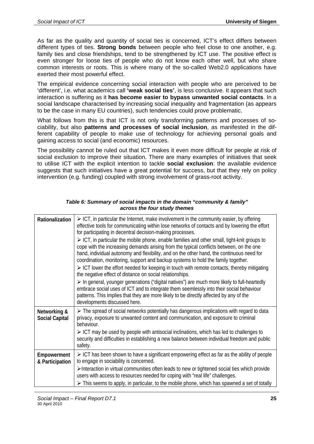As far as the quality and quantity of social ties is concerned, ICT's effect differs between different types of ties. **Strong bonds** between people who feel close to one another, e.g. family ties and close friendships, tend to be strengthened by ICT use. The positive effect is even stronger for loose ties of people who do not know each other well, but who share common interests or roots. This is where many of the so-called Web2.0 applications have exerted their most powerful effect.

The empirical evidence concerning social interaction with people who are perceived to be 'different', i.e. what academics call **'weak social ties'**, is less conclusive. It appears that such interaction is suffering as it **has become easier to bypass unwanted social contacts**. In a social landscape characterised by increasing social inequality and fragmentation (as appears to be the case in many EU countries), such tendencies could prove problematic.

What follows from this is that ICT is not only transforming patterns and processes of sociability, but also **patterns and processes of social inclusion**, as manifested in the different capability of people to make use of technology for achieving personal goals and gaining access to social (and economic) resources.

The possibility cannot be ruled out that ICT makes it even more difficult for people at risk of social exclusion to improve their situation. There are many examples of initiatives that seek to utilise ICT with the explicit intention to tackle **social exclusion**: the available evidence suggests that such initiatives have a great potential for success, but that they rely on policy intervention (e.g. funding) coupled with strong involvement of grass-root activity.

| Rationalization                       | $\triangleright$ ICT, in particular the Internet, make involvement in the community easier, by offering<br>effective tools for communicating within lose networks of contacts and by lowering the effort<br>for participating in decentral decision-making processes.                                                                                                     |
|---------------------------------------|---------------------------------------------------------------------------------------------------------------------------------------------------------------------------------------------------------------------------------------------------------------------------------------------------------------------------------------------------------------------------|
|                                       | > ICT, in particular the mobile phone, enable families and other small, tight-knit groups to<br>cope with the increasing demands arising from the typical conflicts between, on the one<br>hand, individual autonomy and flexibility, and on the other hand, the continuous need for<br>coordination, monitoring, support and backup systems to hold the family together. |
|                                       | $\triangleright$ ICT lower the effort needed for keeping in touch with remote contacts, thereby mitigating<br>the negative effect of distance on social relationships.                                                                                                                                                                                                    |
|                                       | $\triangleright$ In general, younger generations ("digital natives") are much more likely to full-heartedly<br>embrace social uses of ICT and to integrate them seemlessly into their social behaviour<br>patterns. This implies that they are more likely to be directly affected by any of the<br>developments discussed here.                                          |
| Networking &<br><b>Social Capital</b> | The spread of social networks potentially has dangerous implications with regard to data<br>privacy, exposure to unwanted content and communication, and exposure to criminal<br>behaviour.                                                                                                                                                                               |
|                                       | $\triangleright$ ICT may be used by people with antisocial inclinations, which has led to challenges to<br>security and difficulties in establishing a new balance between individual freedom and public<br>safety.                                                                                                                                                       |
| Empowerment<br>& Participation        | $\triangleright$ ICT has been shown to have a significant empowering effect as far as the ability of people<br>to engage in sociability is concerned.                                                                                                                                                                                                                     |
|                                       | >Interaction in virtual communities often leads to new or tightened social ties which provide<br>users with access to resources needed for coping with "real life" challenges.                                                                                                                                                                                            |
|                                       | $\triangleright$ This seems to apply, in particular, to the mobile phone, which has spawned a set of totally                                                                                                                                                                                                                                                              |

#### *Table 6: Summary of social impacts in the domain "community & family" across the four study themes*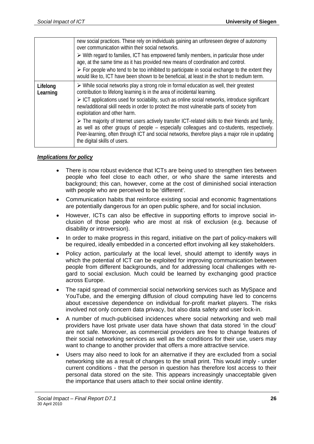|                      | new social practices. These rely on individuals gaining an unforeseen degree of autonomy<br>over communication within their social networks.<br>$\triangleright$ With regard to families, ICT has empowered family members, in particular those under<br>age, at the same time as it has provided new means of coordination and control.<br>$\triangleright$ For people who tend to be too inhibited to participate in social exchange to the extent they<br>would like to, ICT have been shown to be beneficial, at least in the short to medium term.                                                                                                                                                                                                                           |
|----------------------|-----------------------------------------------------------------------------------------------------------------------------------------------------------------------------------------------------------------------------------------------------------------------------------------------------------------------------------------------------------------------------------------------------------------------------------------------------------------------------------------------------------------------------------------------------------------------------------------------------------------------------------------------------------------------------------------------------------------------------------------------------------------------------------|
| Lifelong<br>Learning | $\triangleright$ While social networks play a strong role in formal education as well, their greatest<br>contribution to lifelong learning is in the area of incidental learning.<br>$\triangleright$ ICT applications used for sociability, such as online social networks, introduce significant<br>new/additional skill needs in order to protect the most vulnerable parts of society from<br>exploitation and other harm.<br>$\triangleright$ The majority of Internet users actively transfer ICT-related skills to their friends and family,<br>as well as other groups of people - especially colleagues and co-students, respectively.<br>Peer-learning, often through ICT and social networks, therefore plays a major role in updating<br>the digital skills of users. |

# *Implications for policy*

- There is now robust evidence that ICTs are being used to strengthen ties between people who feel close to each other, or who share the same interests and background; this can, however, come at the cost of diminished social interaction with people who are perceived to be 'different'.
- Communication habits that reinforce existing social and economic fragmentations are potentially dangerous for an open public sphere, and for social inclusion.
- However, ICTs can also be effective in supporting efforts to improve social inclusion of those people who are most at risk of exclusion (e.g. because of disability or introversion).
- In order to make progress in this regard, initiative on the part of policy-makers will be required, ideally embedded in a concerted effort involving all key stakeholders.
- Policy action, particularly at the local level, should attempt to identify ways in which the potential of ICT can be exploited for improving communication between people from different backgrounds, and for addressing local challenges with regard to social exclusion. Much could be learned by exchanging good practice across Europe.
- The rapid spread of commercial social networking services such as MySpace and YouTube, and the emerging diffusion of cloud computing have led to concerns about excessive dependence on individual for-profit market players. The risks involved not only concern data privacy, but also data safety and user lock-in.
- A number of much-publicised incidences where social networking and web mail providers have lost private user data have shown that data stored 'in the cloud' are not safe. Moreover, as commercial providers are free to change features of their social networking services as well as the conditions for their use, users may want to change to another provider that offers a more attractive service.
- Users may also need to look for an alternative if they are excluded from a social networking site as a result of changes to the small print. This would imply - under current conditions - that the person in question has therefore lost access to their personal data stored on the site. This appears increasingly unacceptable given the importance that users attach to their social online identity.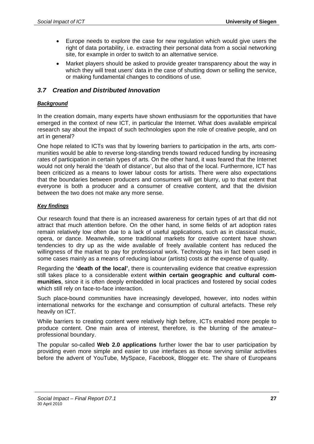- Europe needs to explore the case for new regulation which would give users the right of data portability, i.e. extracting their personal data from a social networking site, for example in order to switch to an alternative service.
- Market players should be asked to provide greater transparency about the way in which they will treat users' data in the case of shutting down or selling the service, or making fundamental changes to conditions of use.

# *3.7 Creation and Distributed Innovation*

### *Background*

In the creation domain, many experts have shown enthusiasm for the opportunities that have emerged in the context of new ICT, in particular the Internet. What does available empirical research say about the impact of such technologies upon the role of creative people, and on art in general?

One hope related to ICTs was that by lowering barriers to participation in the arts, arts communities would be able to reverse long-standing trends toward reduced funding by increasing rates of participation in certain types of arts. On the other hand, it was feared that the Internet would not only herald the 'death of distance', but also that of the local. Furthermore, ICT has been criticized as a means to lower labour costs for artists. There were also expectations that the boundaries between producers and consumers will get blurry, up to that extent that everyone is both a producer and a consumer of creative content, and that the division between the two does not make any more sense.

#### *Key findings*

Our research found that there is an increased awareness for certain types of art that did not attract that much attention before. On the other hand, in some fields of art adoption rates remain relatively low often due to a lack of useful applications, such as in classical music, opera, or dance. Meanwhile, some traditional markets for creative content have shown tendencies to dry up as the wide available of freely available content has reduced the willingness of the market to pay for professional work. Technology has in fact been used in some cases mainly as a means of reducing labour (artists) costs at the expense of quality.

Regarding the **'death of the local'**, there is countervailing evidence that creative expression still takes place to a considerable extent **within certain geographic and cultural communities**, since it is often deeply embedded in local practices and fostered by social codes which still rely on face-to-face interaction.

Such place-bound communities have increasingly developed, however, into nodes within international networks for the exchange and consumption of cultural artefacts. These rely heavily on ICT.

While barriers to creating content were relatively high before, ICTs enabled more people to produce content. One main area of interest, therefore, is the blurring of the amateur– professional boundary.

The popular so-called **Web 2.0 applications** further lower the bar to user participation by providing even more simple and easier to use interfaces as those serving similar activities before the advent of YouTube, MySpace, Facebook, Blogger etc. The share of Europeans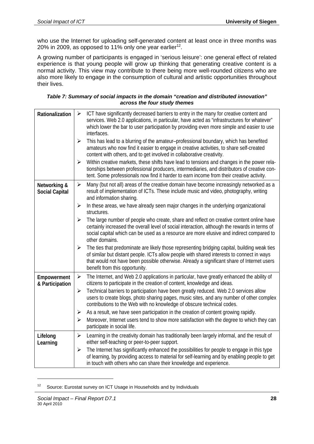who use the Internet for uploading self-generated content at least once in three months was 20% in 2009, as opposed to 11% only one year earlier<sup>12</sup>.

A growing number of participants is engaged in 'serious leisure': one general effect of related experience is that young people will grow up thinking that generating creative content is a normal activity. This view may contribute to there being more well-rounded citizens who are also more likely to engage in the consumption of cultural and artistic opportunities throughout their lives.

| Table 7: Summary of social impacts in the domain "creation and distributed innovation" |  |  |  |
|----------------------------------------------------------------------------------------|--|--|--|
| across the four study themes                                                           |  |  |  |

| Rationalization                       | ICT have significantly decreased barriers to entry in the many for creative content and<br>$\blacktriangleright$<br>services. Web 2.0 applications, in particular, have acted as "infrastructures for whatever"<br>which lower the bar to user participation by providing even more simple and easier to use<br>interfaces.                        |
|---------------------------------------|----------------------------------------------------------------------------------------------------------------------------------------------------------------------------------------------------------------------------------------------------------------------------------------------------------------------------------------------------|
|                                       | $\blacktriangleright$<br>This has lead to a blurring of the amateur-professional boundary, which has benefited<br>amateurs who now find it easier to engage in creative activities, to share self-created<br>content with others, and to get involved in collaborative creativity.                                                                 |
|                                       | Within creative markets, these shifts have lead to tensions and changes in the power rela-<br>$\blacktriangleright$<br>tionships between professional producers, intermediaries, and distributors of creative con-<br>tent. Some professionals now find it harder to earn income from their creative activity.                                     |
| Networking &<br><b>Social Capital</b> | Many (but not all) areas of the creative domain have become increasingly networked as a<br>$\blacktriangleright$<br>result of implementation of ICTs. These include music and video, photography, writing<br>and information sharing.                                                                                                              |
|                                       | In these areas, we have already seen major changes in the underlying organizational<br>➤<br>structures.                                                                                                                                                                                                                                            |
|                                       | The large number of people who create, share and reflect on creative content online have<br>≻<br>certainly increased the overall level of social interaction, although the rewards in terms of<br>social capital which can be used as a resource are more elusive and indirect compared to<br>other domains.                                       |
|                                       | The ties that predominate are likely those representing bridging capital, building weak ties<br>$\blacktriangleright$<br>of similar but distant people. ICTs allow people with shared interests to connect in ways<br>that would not have been possible otherwise. Already a significant share of Internet users<br>benefit from this opportunity. |
| Empowerment<br>& Participation        | The Internet, and Web 2.0 applications in particular, have greatly enhanced the ability of<br>$\blacktriangleright$<br>citizens to participate in the creation of content, knowledge and ideas.                                                                                                                                                    |
|                                       | Technical barriers to participation have been greatly reduced. Web 2.0 services allow<br>$\blacktriangleright$<br>users to create blogs, photo sharing pages, music sites, and any number of other complex<br>contributions to the Web with no knowledge of obscure technical codes.                                                               |
|                                       | As a result, we have seen participation in the creation of content growing rapidly.<br>$\blacktriangleright$<br>Moreover, Internet users tend to show more satisfaction with the degree to which they can<br>➤                                                                                                                                     |
|                                       | participate in social life.                                                                                                                                                                                                                                                                                                                        |
| Lifelong<br>Learning                  | Learning in the creativity domain has traditionally been largely informal, and the result of<br>$\blacktriangleright$<br>either self-teaching or peer-to-peer support.                                                                                                                                                                             |
|                                       | The Internet has significantly enhanced the possibilities for people to engage in this type<br>$\blacktriangleright$<br>of learning, by providing access to material for self-learning and by enabling people to get<br>in touch with others who can share their knowledge and experience.                                                         |

<sup>12</sup> Source: Eurostat survey on ICT Usage in Households and by Individuals

1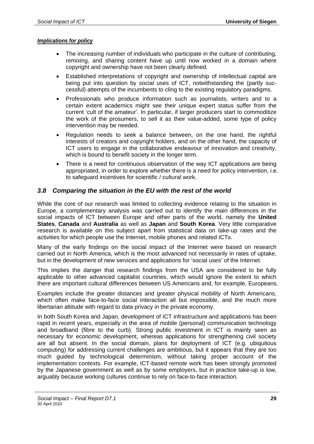#### *Implications for policy*

- The increasing number of individuals who participate in the culture of contributing, remixing, and sharing content have up until now worked in a domain where copyright and ownership have not been clearly defined.
- Established interpretations of copyright and ownership of intellectual capital are being put into question by social uses of ICT, notwithstanding the (partly successful) attempts of the incumbents to cling to the existing regulatory paradigms.
- Professionals who produce information such as journalists, writers and to a certain extent academics might see their unique expert status suffer from the current 'cult of the amateur'. In particular, if larger producers start to commoditize the work of the prosumers, to sell it as their value-added, some type of policy intervention may be needed.
- Regulation needs to seek a balance between, on the one hand, the rightful interests of creators and copyright holders, and on the other hand, the capacity of ICT users to engage in the collaborative endeavour of innovation and creativity, which is bound to benefit society in the longer term.
- There is a need for continuous observation of the way ICT applications are being appropriated, in order to explore whether there is a need for policy intervention, i.e. to safeguard incentives for scientific / cultural work.

## *3.8 Comparing the situation in the EU with the rest of the world*

While the core of our research was limited to collecting evidence relating to the situation in Europe, a complementary analysis was carried out to identify the main differences in the social impacts of ICT between Europe and other parts of the world, namely the **United States**, **Canada** and **Australia** as well as **Japan** and **South Korea**. Very little comparative research is available on this subject apart from statistical data on take-up rates and the activities for which people use the Internet, mobile phones and related ICTs.

Many of the early findings on the social impact of the Internet were based on research carried out in North America, which is the most advanced not necessarily in rates of uptake, but in the development of new services and applications for 'social uses' of the Internet.

This implies the danger that research findings from the USA are considered to be fully applicable to other advanced capitalist countries, which would ignore the extent to which there are important cultural differences between US Americans and, for example, Europeans.

Examples include the greater distances and greater physical mobility of North Americans, which often make face-to-face social interaction all but impossible, and the much more libertarian attitude with regard to data privacy in the private economy.

In both South Korea and Japan, development of ICT infrastructure and applications has been rapid in recent years, especially in the area of mobile (personal) communication technology and broadband (fibre to the curb). Strong public investment in ICT is mainly seen as necessary for economic development, whereas applications for strengthening civil society are all but absent. In the social domain, plans for deployment of ICT (e.g. ubiquitous computing) for addressing current challenges are ambitious, but it appears that they are too much guided by technological determinism, without taking proper account of the implementation contexts. For example, ICT-based remote work has been strongly promoted by the Japanese government as well as by some employers, but in practice take-up is low, arguably because working cultures continue to rely on face-to-face interaction.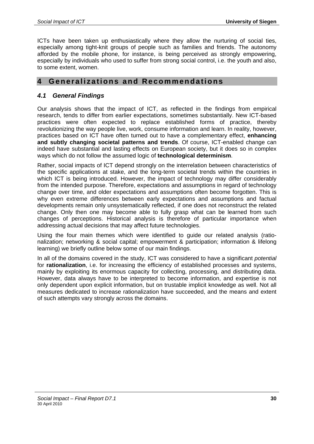ICTs have been taken up enthusiastically where they allow the nurturing of social ties, especially among tight-knit groups of people such as families and friends. The autonomy afforded by the mobile phone, for instance, is being perceived as strongly empowering, especially by individuals who used to suffer from strong social control, i.e. the youth and also, to some extent, women.

# **4 Generalizations and Recommendations**

# *4.1 General Findings*

Our analysis shows that the impact of ICT, as reflected in the findings from empirical research, tends to differ from earlier expectations, sometimes substantially. New ICT-based practices were often expected to replace established forms of practice, thereby revolutionizing the way people live, work, consume information and learn. In reality, however, practices based on ICT have often turned out to have a complementary effect, **enhancing and subtly changing societal patterns and trends**. Of course, ICT-enabled change can indeed have substantial and lasting effects on European society, but it does so in complex ways which do not follow the assumed logic of **technological determinism**.

Rather, social impacts of ICT depend strongly on the interrelation between characteristics of the specific applications at stake, and the long-term societal trends within the countries in which ICT is being introduced. However, the impact of technology may differ considerably from the intended purpose. Therefore, expectations and assumptions in regard of technology change over time, and older expectations and assumptions often become forgotten. This is why even extreme differences between early expectations and assumptions and factual developments remain only unsystematically reflected, if one does not reconstruct the related change. Only then one may become able to fully grasp what can be learned from such changes of perceptions. Historical analysis is therefore of particular importance when addressing actual decisions that may affect future technologies.

Using the four main themes which were identified to guide our related analysis (rationalization; networking & social capital; empowerment & participation; information & lifelong learning) we briefly outline below some of our main findings.

In all of the domains covered in the study, ICT was considered to have a significant *potential* for **rationalization**, i.e. for increasing the efficiency of established processes and systems, mainly by exploiting its enormous capacity for collecting, processing, and distributing data. However, data always have to be interpreted to become information, and expertise is not only dependent upon explicit information, but on trustable implicit knowledge as well. Not all measures dedicated to increase rationalization have succeeded, and the means and extent of such attempts vary strongly across the domains.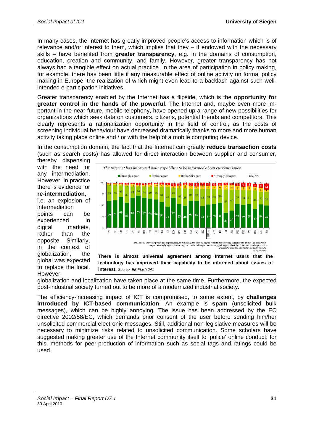In many cases, the Internet has greatly improved people's access to information which is of relevance and/or interest to them, which implies that they – if endowed with the necessary skills – have benefited from **greater transparency**, e.g. in the domains of consumption, education, creation and community, and family. However, greater transparency has not always had a tangible effect on actual practice. In the area of participation in policy making, for example, there has been little if any measurable effect of online activity on formal policy making in Europe, the realization of which might even lead to a backlash against such wellintended e-participation initiatives.

Greater transparency enabled by the Internet has a flipside, which is the **opportunity for greater control in the hands of the powerful**. The Internet and, maybe even more important in the near future, mobile telephony, have opened up a range of new possibilities for organizations which seek data on customers, citizens, potential friends and competitors. This clearly represents a rationalization opportunity in the field of control, as the costs of screening individual behaviour have decreased dramatically thanks to more and more human activity taking place online and / or with the help of a mobile computing device.

In the consumption domain, the fact that the Internet can greatly **reduce transaction costs**  (such as search costs) has allowed for direct interaction between supplier and consumer,

thereby dispensing with the need for any intermediation. However, in practice there is evidence for **re-intermediation**,

i.e. an explosion of intermediation points can be experienced in digital markets, rather than the opposite. Similarly, in the context of globalization, the global was expected to replace the local. However,



globalization and localization have taken place at the same time. Furthermore, the expected post-industrial society turned out to be more of a modernized industrial society.

The efficiency-increasing impact of ICT is compromised, to some extent, by **challenges introduced by ICT-based communication**. An example is **spam** (unsolicited bulk messages), which can be highly annoying. The issue has been addressed by the EC directive 2002/58/EC, which demands prior consent of the user before sending him/her unsolicited commercial electronic messages. Still, additional non-legislative measures will be necessary to minimize risks related to unsolicited communication. Some scholars have suggested making greater use of the Internet community itself to 'police' online conduct; for this, methods for peer-production of information such as social tags and ratings could be used.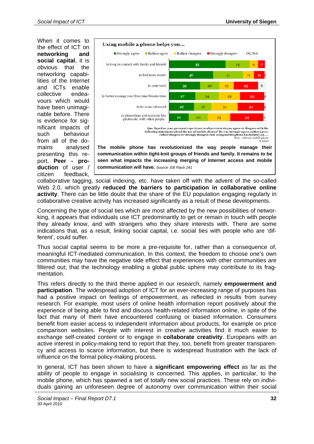When it comes to the effect of ICT on **networking and social capital**, it is obvious that the networking capabilities of the Internet and ICTs enable collective endeavours which would have been unimaginable before. There is evidence for significant impacts of such behaviour from all of the domains analysed presenting this report. **Peer - production** of user / citizen feedback,



collaborative tagging, social indexing, etc. have taken off with the advent of the so-called Web 2.0, which greatly **reduced the barriers to participation in collaborative online activity**. There can be little doubt that the share of the EU population engaging regularly in collaborative creative activity has increased significantly as a result of these developments.

Concerning the type of social ties which are most affected by the new possibilities of networking, it appears that individuals use ICT predominantly to get or remain in touch with people they already know, and with strangers who they share interests with. There are some indications that, as a result, linking social capital, i.e. social ties with people who are 'different', could suffer.

Thus social capital seems to be more a pre-requisite for, rather than a consequence of, meaningful ICT-mediated communication. In this context, the freedom to choose one's own communities may have the negative side effect that experiences with other communities are filtered out; that the technology enabling a global public sphere may contribute to its fragmentation.

This refers directly to the third theme applied in our research, namely **empowerment and participation**. The widespread adoption of ICT for an ever-increasing range of purposes has had a positive impact on feelings of empowerment, as reflected in results from survey research. For example, most users of online health information report positively about the experience of being able to find and discuss health-related information online, in spite of the fact that many of them have encountered confusing or biased information. Consumers benefit from easier access to independent information about products, for example on price comparison websites. People with interest in creative activities find it much easier to exchange self-created content or to engage in **collaborate creativity**. Europeans with an active interest in policy-making tend to report that they, too, benefit from greater transparency and access to scarce information, but there is widespread frustration with the lack of influence on the formal policy-making process.

In general, ICT has been shown to have a **significant empowering effect** as far as the ability of people to engage in socialising is concerned. This applies, in particular, to the mobile phone, which has spawned a set of totally new social practices. These rely on individuals gaining an unforeseen degree of autonomy over communication within their social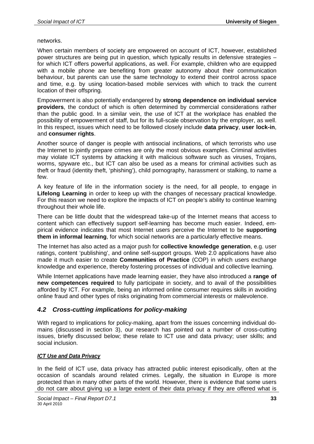networks.

When certain members of society are empowered on account of ICT, however, established power structures are being put in question, which typically results in defensive strategies – for which ICT offers powerful applications, as well. For example, children who are equipped with a mobile phone are benefiting from greater autonomy about their communication behaviour, but parents can use the same technology to extend their control across space and time, e.g. by using location-based mobile services with which to track the current location of their offspring.

Empowerment is also potentially endangered by **strong dependence on individual service providers**, the conduct of which is often determined by commercial considerations rather than the public good. In a similar vein, the use of ICT at the workplace has enabled the possibility of empowerment of staff, but for its full-scale observation by the employer, as well. In this respect, issues which need to be followed closely include **data privacy**, **user lock-in**, and **consumer rights**.

Another source of danger is people with antisocial inclinations, of which terrorists who use the Internet to jointly prepare crimes are only the most obvious examples. Criminal activities may violate ICT systems by attacking it with malicious software such as viruses, Trojans, worms, spyware etc., but ICT can also be used as a means for criminal activities such as theft or fraud (identity theft, 'phishing'), child pornography, harassment or stalking, to name a few.

A key feature of life in the information society is the need, for all people, to engage in **Lifelong Learning** in order to keep up with the changes of necessary practical knowledge. For this reason we need to explore the impacts of ICT on people's ability to continue learning throughout their whole life.

There can be little doubt that the widespread take-up of the Internet means that access to content which can effectively support self-learning has become much easier. Indeed, empirical evidence indicates that most Internet users perceive the Internet to be **supporting them in informal learning**, for which social networks are a particularly effective means.

The Internet has also acted as a major push for **collective knowledge generation**, e.g. user ratings, content 'publishing', and online self-support groups. Web 2.0 applications have also made it much easier to create **Communities of Practice** (COP) in which users exchange knowledge and experience, thereby fostering processes of individual and collective learning.

While Internet applications have made learning easier, they have also introduced a **range of new competences required** to fully participate in society, and to avail of the possibilities afforded by ICT. For example, being an informed online consumer requires skills in avoiding online fraud and other types of risks originating from commercial interests or malevolence.

# *4.2 Cross-cutting implications for policy-making*

With regard to implications for policy-making, apart from the issues concerning individual domains (discussed in section 3), our research has pointed out a number of cross-cutting issues, briefly discussed below; these relate to ICT use and data privacy; user skills; and social inclusion.

# *ICT Use and Data Privacy*

In the field of ICT use, data privacy has attracted public interest episodically, often at the occasion of scandals around related crimes. Legally, the situation in Europe is more protected than in many other parts of the world. However, there is evidence that some users do not care about giving up a large extent of their data privacy if they are offered what is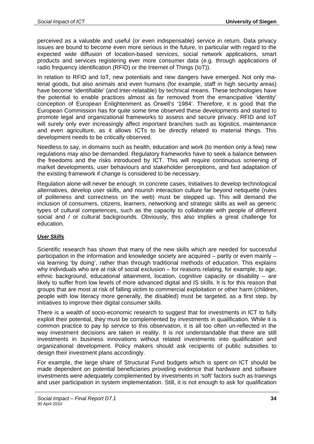perceived as a valuable and useful (or even indispensable) service in return. Data privacy issues are bound to become even more serious in the future, in particular with regard to the expected wide diffusion of location-based services, social network applications, smart products and services registering ever more consumer data (e.g. through applications of radio frequency identification (RFID) or the Internet of Things (IoT)).

In relation to RFID and IoT, new potentials and new dangers have emerged. Not only material goods, but also animals and even humans (for example, staff in high security areas) have become 'identifiable' (and inter-relatable) by technical means. These technologies have the potential to enable practices almost as far removed from the emancipative 'identity' conception of European Enlightenment as Orwell's '1984'. Therefore, it is good that the European Commission has for quite some time observed these developments and started to promote legal and organizational frameworks to assess and secure privacy. RFID and IoT will surely only ever increasingly affect important branches such as logistics, maintenance and even agriculture, as it allows ICTs to be directly related to material things. This development needs to be critically observed.

Needless to say, in domains such as health, education and work (to mention only a few) new regulations may also be demanded. Regulatory frameworks have to seek a balance between the freedoms and the risks introduced by ICT. This will require continuous screening of market developments, user behaviours and stakeholder perceptions, and fast adaptation of the existing framework if change is considered to be necessary.

Regulation alone will never be enough. In concrete cases, Initiatives to develop technological alternatives, develop user skills, and nourish interaction culture far beyond netiquette (rules of politeness and correctness on the web) must be stepped up. This will demand the inclusion of consumers, citizens, learners, networking and strategic skills as well as generic types of cultural competences, such as the capacity to collaborate with people of different social and / or cultural backgrounds. Obviously, this also implies a great challenge for education.

# *User Skills*

Scientific research has shown that many of the new skills which are needed for successful participation in the information and knowledge society are acquired – partly or even mainly – via learning 'by doing', rather than through traditional methods of education. This explains why individuals who are at risk of social exclusion – for reasons relating, for example, to age, ethnic background, educational attainment, location, cognitive capacity or disability – are likely to suffer from low levels of more advanced digital and IS skills. It is for this reason that groups that are most at risk of falling victim to commercial exploitation or other harm (children, people with low literacy more generally, the disabled) must be targeted, as a first step, by initiatives to improve their digital consumer skills.

There is a wealth of socio-economic research to suggest that for investments in ICT to fully exploit their potential, they must be complemented by investments in qualification. While it is common practice to pay lip service to this observation, it is all too often un-reflected in the way investment decisions are taken in reality. It is not understandable that there are still investments in business innovations without related investments into qualification and organizational development. Policy makers should ask recipients of public subsidies to design their investment plans accordingly.

For example, the large share of Structural Fund budgets which is spent on ICT should be made dependent on potential beneficiaries providing evidence that hardware and software investments were adequately complemented by investments in 'soft' factors such as trainings and user participation in system implementation. Still, it is not enough to ask for qualification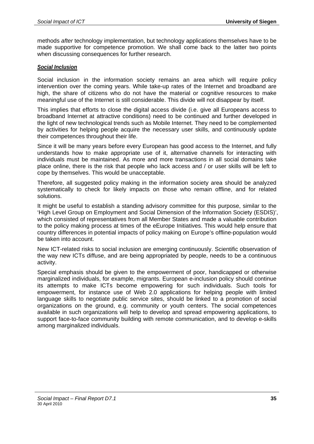methods *after* technology implementation, but technology applications themselves have to be made supportive for competence promotion. We shall come back to the latter two points when discussing consequences for further research.

### *Social Inclusion*

Social inclusion in the information society remains an area which will require policy intervention over the coming years. While take-up rates of the Internet and broadband are high, the share of citizens who do not have the material or cognitive resources to make meaningful use of the Internet is still considerable. This divide will not disappear by itself.

This implies that efforts to close the digital access divide (i.e. give all Europeans access to broadband Internet at attractive conditions) need to be continued and further developed in the light of new technological trends such as Mobile Internet. They need to be complemented by activities for helping people acquire the necessary user skills, and continuously update their competences throughout their life.

Since it will be many years before every European has good access to the Internet, and fully understands how to make appropriate use of it, alternative channels for interacting with individuals must be maintained. As more and more transactions in all social domains take place online, there is the risk that people who lack access and / or user skills will be left to cope by themselves. This would be unacceptable.

Therefore, all suggested policy making in the information society area should be analyzed systematically to check for likely impacts on those who remain offline, and for related solutions.

It might be useful to establish a standing advisory committee for this purpose, similar to the 'High Level Group on Employment and Social Dimension of the Information Society (ESDIS)', which consisted of representatives from all Member States and made a valuable contribution to the policy making process at times of the eEurope Initiatives. This would help ensure that country differences in potential impacts of policy making on Europe's offline-population would be taken into account.

New ICT-related risks to social inclusion are emerging continuously. Scientific observation of the way new ICTs diffuse, and are being appropriated by people, needs to be a continuous activity.

Special emphasis should be given to the empowerment of poor, handicapped or otherwise marginalized individuals, for example, migrants. European e-inclusion policy should continue its attempts to make ICTs become empowering for such individuals. Such tools for empowerment, for instance use of Web 2.0 applications for helping people with limited language skills to negotiate public service sites, should be linked to a promotion of social organizations on the ground, e.g. community or youth centers. The social competences available in such organizations will help to develop and spread empowering applications, to support face-to-face community building with remote communication, and to develop e-skills among marginalized individuals.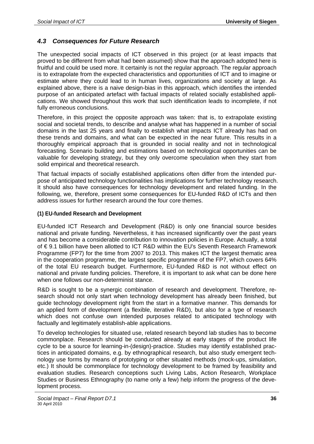# *4.3 Consequences for Future Research*

The unexpected social impacts of ICT observed in this project (or at least impacts that proved to be different from what had been assumed) show that the approach adopted here is fruitful and could be used more. It certainly is not the regular approach. The regular approach is to extrapolate from the expected characteristics and opportunities of ICT and to imagine or estimate where they could lead to in human lives, organizations and society at large. As explained above, there is a naive design-bias in this approach, which identifies the intended purpose of an anticipated artefact with factual impacts of related socially established applications. We showed throughout this work that such identification leads to incomplete, if not fully erroneous conclusions.

Therefore, in this project the opposite approach was taken: that is, to extrapolate existing social and societal trends, to describe and analyse what has happened in a number of social domains in the last 25 years and finally to establish what impacts ICT already has had on these trends and domains, and what can be expected in the near future. This results in a thoroughly empirical approach that is grounded in social reality and not in technological forecasting. Scenario building and estimations based on technological opportunities can be valuable for developing strategy, but they only overcome speculation when they start from solid empirical and theoretical research.

That factual impacts of socially established applications often differ from the intended purpose of anticipated technology functionalities has implications for further technology research. It should also have consequences for technology development and related funding. In the following, we, therefore, present some consequences for EU-funded R&D of ICTs and then address issues for further research around the four core themes.

#### **(1) EU-funded Research and Development**

EU-funded ICT Research and Development (R&D) is only one financial source besides national and private funding. Nevertheless, it has increased significantly over the past years and has become a considerable contribution to innovation policies in Europe. Actually, a total of € 9.1 billion have been allotted to ICT R&D within the EU's Seventh Research Framework Programme (FP7) for the time from 2007 to 2013. This makes ICT the largest thematic area in the cooperation programme, the largest specific programme of the FP7, which covers 64% of the total EU research budget. Furthermore, EU-funded R&D is not without effect on national and private funding policies. Therefore, it is important to ask what can be done here when one follows our non-determinist stance.

R&D is sought to be a synergic combination of research and development. Therefore, research should not only start when technology development has already been finished, but guide technology development right from the start in a formative manner. This demands for an applied form of development (a flexible, iterative R&D), but also for a type of research which does not confuse own intended purposes related to anticipated technology with factually and legitimately establish-able applications.

To develop technologies for situated use, related research beyond lab studies has to become commonplace. Research should be conducted already at early stages of the product life cycle to be a source for learning-in-(design)-practice. Studies may identify established practices in anticipated domains, e.g. by ethnographical research, but also study emergent technology use forms by means of prototyping or other situated methods (mock-ups, simulation, etc.) It should be commonplace for technology development to be framed by feasibility and evaluation studies. Research conceptions such Living Labs, Action Research, Workplace Studies or Business Ethnography (to name only a few) help inform the progress of the development process.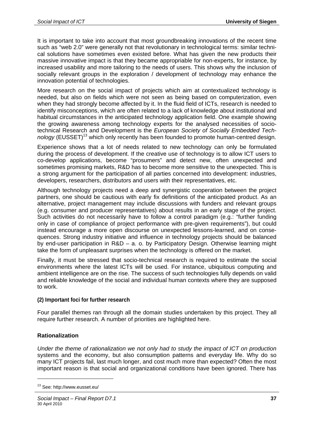It is important to take into account that most groundbreaking innovations of the recent time such as "web 2.0" were generally not that revolutionary in technological terms: similar technical solutions have sometimes even existed before. What has given the new products their massive innovative impact is that they became appropriable for non-experts, for instance, by increased usability and more tailoring to the needs of users. This shows why the inclusion of socially relevant groups in the exploration / development of technology may enhance the innovation potential of technologies.

More research on the social impact of projects which aim at contextualized technology is needed, but also on fields which were not seen as being based on computerization, even when they had strongly become affected by it. In the fluid field of ICTs, research is needed to identify misconceptions, which are often related to a lack of knowledge about institutional and habitual circumstances in the anticipated technology application field. One example showing the growing awareness among technology experts for the analysed necessities of sociotechnical Research and Development is the *European Society of Socially Embedded Technology* (EUSSET)<sup>13</sup> which only recently has been founded to promote human-centred design.

Experience shows that a lot of needs related to new technology can only be formulated during the process of development. If the creative use of technology is to allow ICT users to co-develop applications, become "prosumers" and detect new, often unexpected and sometimes promising markets, R&D has to become more sensitive to the unexpected. This is a strong argument for the participation of all parties concerned into development: industries, developers, researchers, distributors and users with their representatives, etc.

Although technology projects need a deep and synergistic cooperation between the project partners, one should be cautious with early fix definitions of the anticipated product. As an alternative, project management may include discussions with funders and relevant groups (e.g. consumer and producer representatives) about results in an early stage of the project. Such activities do not necessarily have to follow a control paradigm (e.g.: "further funding only in case of compliance of project performance with pre-given requirements"), but could instead encourage a more open discourse on unexpected lessons-learned, and on consequences. Strong industry initiative and influence in technology projects should be balanced by end-user participation in R&D – a. o. by Participatory Design. Otherwise learning might take the form of unpleasant surprises when the technology is offered on the market.

Finally, it must be stressed that socio-technical research is required to estimate the social environments where the latest ICTs will be used. For instance, ubiquitous computing and ambient intelligence are on the rise. The success of such technologies fully depends on valid and reliable knowledge of the social and individual human contexts where they are supposed to work.

#### **(2) Important foci for further research**

Four parallel themes ran through all the domain studies undertaken by this project. They all require further research. A number of priorities are highlighted here.

#### **Rationalization**

1

*Under the theme of rationalization we not only had to study the impact of ICT on production* systems and the economy, but also consumption patterns and everyday life. Why do so many ICT projects fail, last much longer, and cost much more than expected? Often the most important reason is that social and organizational conditions have been ignored. There has

<sup>13</sup> See: http://www.eusset.eu/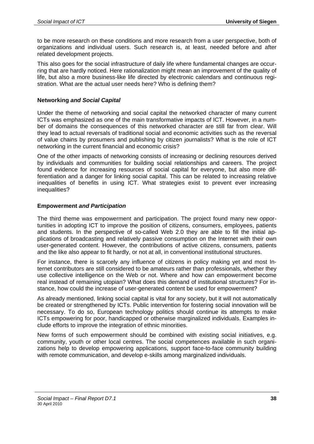to be more research on these conditions and more research from a user perspective, both of organizations and individual users. Such research is, at least, needed before and after related development projects.

This also goes for the social infrastructure of daily life where fundamental changes are occurring that are hardly noticed. Here rationalization might mean an improvement of the quality of life, but also a more business-like life directed by electronic calendars and continuous registration. What are the actual user needs here? Who is defining them?

#### **Networking** *and Social Capital*

Under the theme of networking and social capital the networked character of many current ICTs was emphasized as one of the main transformative impacts of ICT. However, in a number of domains the consequences of this networked character are still far from clear. Will they lead to actual reversals of traditional social and economic activities such as the reversal of value chains by prosumers and publishing by citizen journalists? What is the role of ICT networking in the current financial and economic crisis?

One of the other impacts of networking consists of increasing or declining resources derived by individuals and communities for building social relationships and careers. The project found evidence for increasing resources of social capital for everyone, but also more differentiation and a danger for linking social capital. This can be related to increasing relative inequalities of benefits in using ICT. What strategies exist to prevent ever increasing inequalities?

#### **Empowerment** *and Participation*

The third theme was empowerment and participation. The project found many new opportunities in adopting ICT to improve the position of citizens, consumers, employees, patients and students. In the perspective of so-called Web 2.0 they are able to fill the initial applications of broadcasting and relatively passive consumption on the Internet with their own user-generated content. However, the contributions of active citizens, consumers, patients and the like also appear to fit hardly, or not at all, in conventional institutional structures.

For instance, there is scarcely any influence of citizens in policy making yet and most Internet contributors are still considered to be amateurs rather than professionals, whether they use collective intelligence on the Web or not. Where and how can empowerment become real instead of remaining utopian? What does this demand of institutional structures? For instance, how could the increase of user-generated content be used for empowerment?

As already mentioned, linking social capital is vital for any society, but it will not automatically be created or strengthened by ICTs. Public intervention for fostering social innovation will be necessary. To do so, European technology politics should continue its attempts to make ICTs empowering for poor, handicapped or otherwise marginalized individuals. Examples include efforts to improve the integration of ethnic minorities.

New forms of such empowerment should be combined with existing social initiatives, e.g. community, youth or other local centres. The social competences available in such organizations help to develop empowering applications, support face-to-face community building with remote communication, and develop e-skills among marginalized individuals.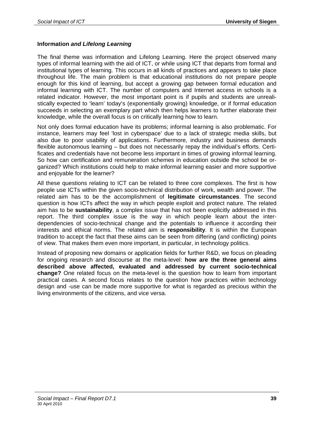### **Information** *and Lifelong Learning*

The final theme was information and Lifelong Learning. Here the project observed many types of informal learning with the aid of ICT, or while using ICT that departs from formal and institutional types of learning. This occurs in all kinds of practices and appears to take place throughout life. The main problem is that educational institutions do not prepare people enough for this kind of learning, but accept a growing gap between formal education and informal learning with ICT. The number of computers and Internet access in schools is a related indicator. However, the most important point is if pupils and students are unrealistically expected to 'learn' today's (exponentially growing) knowledge, or if formal education succeeds in selecting an exemplary part which then helps learners to further elaborate their knowledge, while the overall focus is on critically learning how to learn.

Not only does formal education have its problems; informal learning is also problematic. For instance, learners may feel 'lost in cyberspace' due to a lack of strategic media skills, but also due to poor usability of applications. Furthermore, industry and business demands flexible autonomous learning – but does not necessarily repay the individual's efforts. Certificates and credentials have not become less important in times of growing informal learning. So how can certification and remuneration schemes in education outside the school be organized? Which institutions could help to make informal learning easier and more supportive and enjoyable for the learner?

All these questions relating to ICT can be related to three core complexes. The first is how people use ICTs within the given socio-technical distribution of work, wealth and power. The related aim has to be the accomplishment of **legitimate circumstances**. The second question is how ICTs affect the way in which people exploit and protect nature. The related aim has to be **sustainability**, a complex issue that has not been explicitly addressed in this report. The third complex issue is the way in which people learn about the interdependencies of socio-technical change and the potentials to influence it according their interests and ethical norms. The related aim is **responsibility**. It is within the European tradition to accept the fact that these aims can be seen from differing (and conflicting) points of view. That makes them even more important, in particular, in technology politics.

Instead of proposing new domains or application fields for further R&D, we focus on pleading for ongoing research and discourse at the meta-level: **how are the three general aims described above affected, evaluated and addressed by current socio-technical change?** One related focus on the meta-level is the question how to learn from important practical cases. A second focus relates to the question how practices within technology design and -use can be made more supportive for what is regarded as precious within the living environments of the citizens, and vice versa.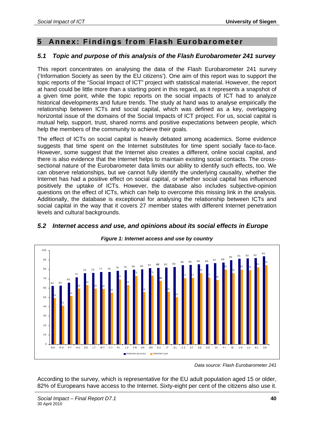# **5 Annex: Findings from Flash Eurobarometer**

# *5.1 Topic and purpose of this analysis of the Flash Eurobarometer 241 survey*

This report concentrates on analysing the data of the Flash Eurobarometer 241 survey ('Information Society as seen by the EU citizens'). One aim of this report was to support the topic reports of the "Social Impact of ICT" project with statistical material. However, the report at hand could be little more than a starting point in this regard, as it represents a snapshot of a given time point, while the topic reports on the social impacts of ICT had to analyze historical developments and future trends. The study at hand was to analyse empirically the relationship between ICTs and social capital, which was defined as a key, overlapping horizontal issue of the domains of the Social Impacts of ICT project. For us, social capital is mutual help, support, trust, shared norms and positive expectations between people, which help the members of the community to achieve their goals.

The effect of ICTs on social capital is heavily debated among academics. Some evidence suggests that time spent on the Internet substitutes for time spent socially face-to-face. However, some suggest that the Internet also creates a different, online social capital, and there is also evidence that the Internet helps to maintain existing social contacts. The crosssectional nature of the Eurobarometer data limits our ability to identify such effects, too. We can observe relationships, but we cannot fully identify the underlying causality, whether the Internet has had a positive effect on social capital, or whether social capital has influenced positively the uptake of ICTs. However, the database also includes subjective-opinion questions on the effect of ICTs, which can help to overcome this missing link in the analysis. Additionally, the database is exceptional for analysing the relationship between ICTs and social capital in the way that it covers 27 member states with different Internet penetration levels and cultural backgrounds.



# *5.2 Internet access and use, and opinions about its social effects in Europe*

According to the survey, which is representative for the EU adult population aged 15 or older, 82% of Europeans have access to the Internet. Sixty-eight per cent of the citizens also use it.

*Data source: Flash Eurobarometer 241*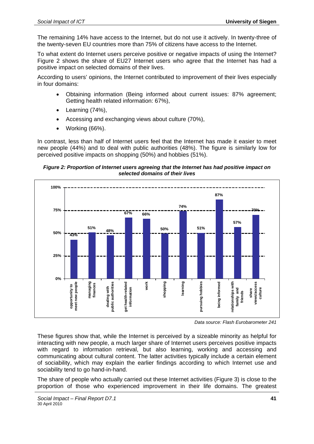The remaining 14% have access to the Internet, but do not use it actively. In twenty-three of the twenty-seven EU countries more than 75% of citizens have access to the Internet.

To what extent do Internet users perceive positive or negative impacts of using the Internet? Figure 2 shows the share of EU27 Internet users who agree that the Internet has had a positive impact on selected domains of their lives.

According to users' opinions, the Internet contributed to improvement of their lives especially in four domains:

- Obtaining information (Being informed about current issues: 87% agreement; Getting health related information: 67%),
- Learning (74%),
- Accessing and exchanging views about culture (70%),
- Working (66%).

In contrast, less than half of Internet users feel that the Internet has made it easier to meet new people (44%) and to deal with public authorities (48%). The figure is similarly low for perceived positive impacts on shopping (50%) and hobbies (51%).

#### *Figure 2: Proportion of Internet users agreeing that the Internet has had positive impact on selected domains of their lives*



*Data source: Flash Eurobarometer 241* 

These figures show that, while the Internet is perceived by a sizeable minority as helpful for interacting with new people, a much larger share of Internet users perceives positive impacts with regard to information retrieval, but also learning, working and accessing and communicating about cultural content. The latter activities typically include a certain element of sociability, which may explain the earlier findings according to which Internet use and sociability tend to go hand-in-hand.

The share of people who actually carried out these Internet activities (Figure 3) is close to the proportion of those who experienced improvement in their life domains. The greatest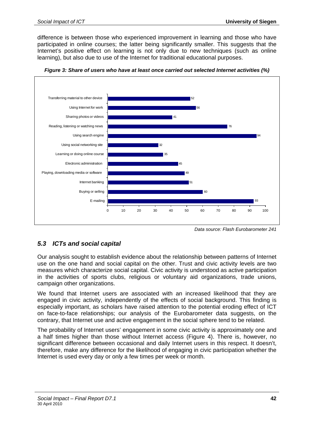difference is between those who experienced improvement in learning and those who have participated in online courses; the latter being significantly smaller. This suggests that the Internet's positive effect on learning is not only due to new techniques (such as online learning), but also due to use of the Internet for traditional educational purposes.



*Figure 3: Share of users who have at least once carried out selected Internet activities (%)* 

*Data source: Flash Eurobarometer 241* 

# *5.3 ICTs and social capital*

Our analysis sought to establish evidence about the relationship between patterns of Internet use on the one hand and social capital on the other. Trust and civic activity levels are two measures which characterize social capital. Civic activity is understood as active participation in the activities of sports clubs, religious or voluntary aid organizations, trade unions, campaign other organizations.

We found that Internet users are associated with an increased likelihood that they are engaged in civic activity, independently of the effects of social background. This finding is especially important, as scholars have raised attention to the potential eroding effect of ICT on face-to-face relationships; our analysis of the Eurobarometer data suggests, on the contrary, that Internet use and active engagement in the social sphere tend to be related.

The probability of Internet users' engagement in some civic activity is approximately one and a half times higher than those without Internet access (Figure 4). There is, however, no significant difference between occasional and daily Internet users in this respect. It doesn't, therefore, make any difference for the likelihood of engaging in civic participation whether the Internet is used every day or only a few times per week or month.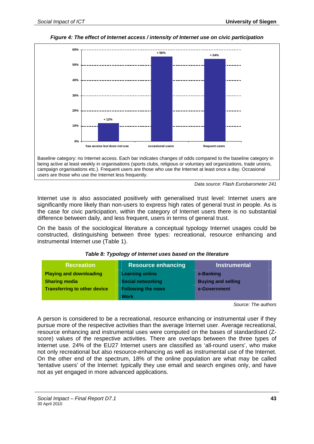

#### *Figure 4: The effect of Internet access / intensity of Internet use on civic participation*



Internet use is also associated positively with generalised trust level: Internet users are significantly more likely than non-users to express high rates of general trust in people. As is the case for civic participation, within the category of Internet users there is no substantial difference between daily, and less frequent, users in terms of general trust.

On the basis of the sociological literature a conceptual typology Internet usages could be constructed, distinguishing between three types: recreational, resource enhancing and instrumental Internet use (Table 1).

| <b>Recreation</b>                   | <b>Resource enhancing</b> | <b>Instrumental</b>       |
|-------------------------------------|---------------------------|---------------------------|
| <b>Playing and downloading</b>      | <b>Learning online</b>    | e-Banking                 |
| <b>Sharing media</b>                | <b>Social networking</b>  | <b>Buying and selling</b> |
| <b>Transferring to other device</b> | <b>Following the news</b> | e-Government              |
|                                     | <b>Work</b>               |                           |

#### *Table 8: Typology of Internet uses based on the literature*

*Source: The authors* 

A person is considered to be a recreational, resource enhancing or instrumental user if they pursue more of the respective activities than the average Internet user. Average recreational, resource enhancing and instrumental uses were computed on the bases of standardised (Zscore) values of the respective activities. There are overlaps between the three types of Internet use. 24% of the EU27 Internet users are classified as 'all-round users', who make not only recreational but also resource-enhancing as well as instrumental use of the Internet. On the other end of the spectrum, 18% of the online population are what may be called 'tentative users' of the Internet: typically they use email and search engines only, and have not as yet engaged in more advanced applications.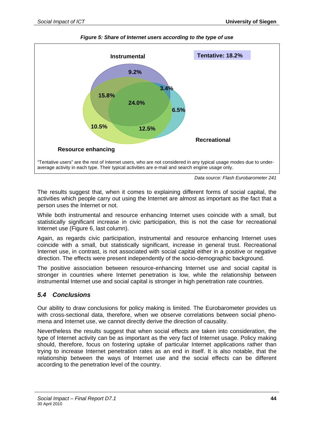

*Figure 5: Share of Internet users according to the type of use* 

*Data source: Flash Eurobarometer 241* 

The results suggest that, when it comes to explaining different forms of social capital, the activities which people carry out using the Internet are almost as important as the fact that a person uses the Internet or not.

While both instrumental and resource enhancing Internet uses coincide with a small, but statistically significant increase in civic participation, this is not the case for recreational Internet use (Figure 6, last column).

Again, as regards civic participation, instrumental and resource enhancing Internet uses coincide with a small, but statistically significant, increase in general trust. Recreational Internet use, in contrast, is not associated with social capital either in a positive or negative direction. The effects were present independently of the socio-demographic background.

The positive association between resource-enhancing Internet use and social capital is stronger in countries where Internet penetration is low, while the relationship between instrumental Internet use and social capital is stronger in high penetration rate countries.

# *5.4 Conclusions*

Our ability to draw conclusions for policy making is limited. The Eurobarometer provides us with cross-sectional data, therefore, when we observe correlations between social phenomena and Internet use, we cannot directly derive the direction of causality.

Nevertheless the results suggest that when social effects are taken into consideration, the type of Internet activity can be as important as the very fact of Internet usage. Policy making should, therefore, focus on fostering uptake of particular Internet applications rather than trying to increase Internet penetration rates as an end in itself. It is also notable, that the relationship between the ways of Internet use and the social effects can be different according to the penetration level of the country.